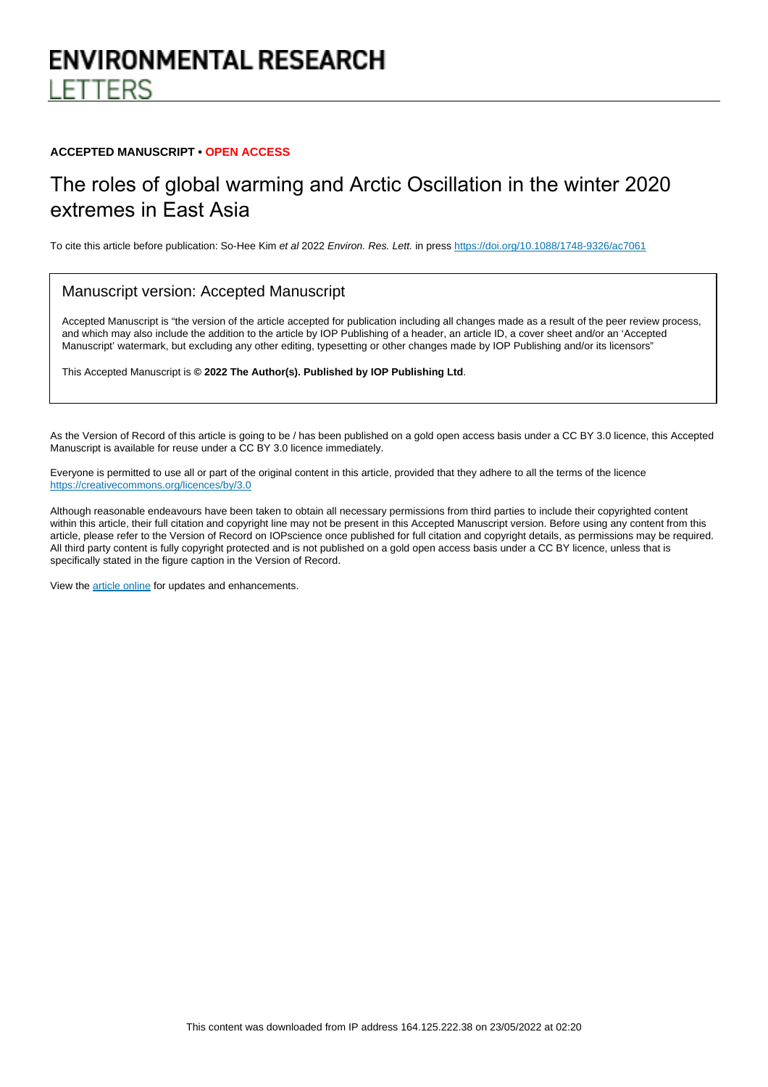# **ENVIRONMENTAL RESEARCH** ETTERS

#### **ACCEPTED MANUSCRIPT • OPEN ACCESS**

## The roles of global warming and Arctic Oscillation in the winter 2020 extremes in East Asia

To cite this article before publication: So-Hee Kim et al 2022 Environ. Res. Lett. in press <https://doi.org/10.1088/1748-9326/ac7061>

#### Manuscript version: Accepted Manuscript

Accepted Manuscript is "the version of the article accepted for publication including all changes made as a result of the peer review process, and which may also include the addition to the article by IOP Publishing of a header, an article ID, a cover sheet and/or an 'Accepted Manuscript' watermark, but excluding any other editing, typesetting or other changes made by IOP Publishing and/or its licensors"

This Accepted Manuscript is **© 2022 The Author(s). Published by IOP Publishing Ltd**.

As the Version of Record of this article is going to be / has been published on a gold open access basis under a CC BY 3.0 licence, this Accepted Manuscript is available for reuse under a CC BY 3.0 licence immediately.

Everyone is permitted to use all or part of the original content in this article, provided that they adhere to all the terms of the licence <https://creativecommons.org/licences/by/3.0>

Although reasonable endeavours have been taken to obtain all necessary permissions from third parties to include their copyrighted content within this article, their full citation and copyright line may not be present in this Accepted Manuscript version. Before using any content from this article, please refer to the Version of Record on IOPscience once published for full citation and copyright details, as permissions may be required. All third party content is fully copyright protected and is not published on a gold open access basis under a CC BY licence, unless that is specifically stated in the figure caption in the Version of Record.

View the [article online](https://doi.org/10.1088/1748-9326/ac7061) for updates and enhancements.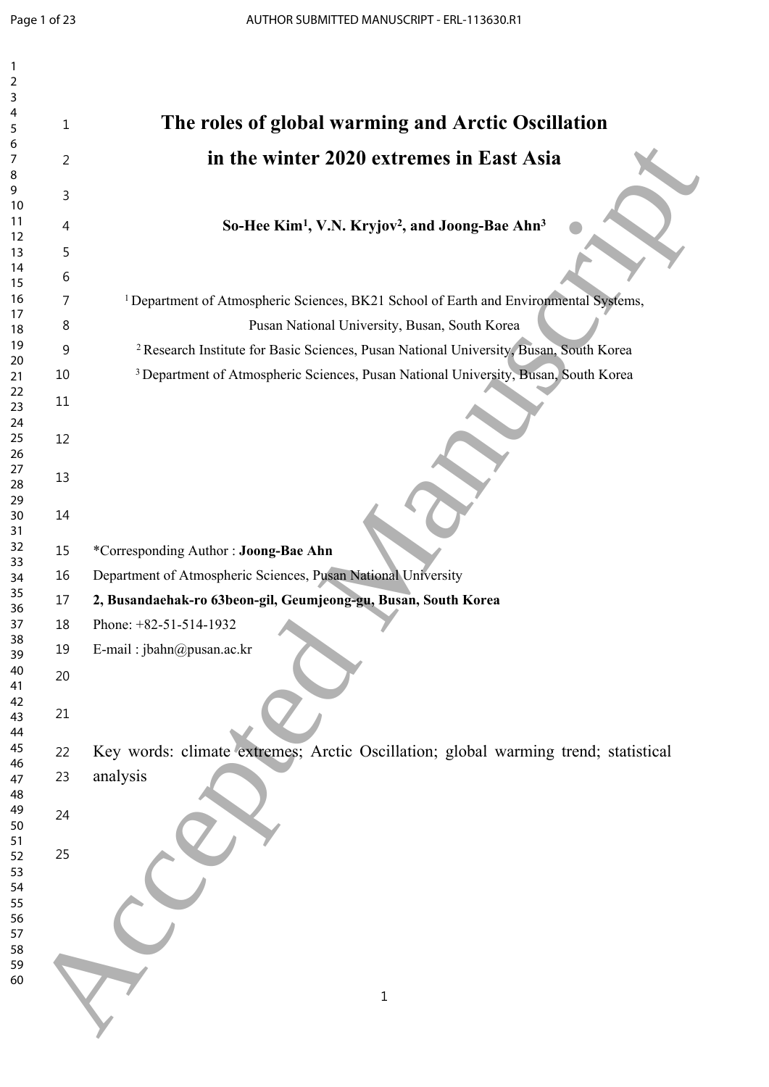| $\overline{\mathbf{c}}$ |    |                                                                                                   |
|-------------------------|----|---------------------------------------------------------------------------------------------------|
| 3                       |    |                                                                                                   |
| 4<br>5                  | 1  | The roles of global warming and Arctic Oscillation                                                |
| 6                       |    |                                                                                                   |
| 7                       | 2  | in the winter 2020 extremes in East Asia                                                          |
| 8                       |    |                                                                                                   |
| 9                       | 3  |                                                                                                   |
| 10                      |    |                                                                                                   |
| 11                      | 4  | So-Hee Kim <sup>1</sup> , V.N. Kryjov <sup>2</sup> , and Joong-Bae Ahn <sup>3</sup>               |
| 12<br>13                | 5  |                                                                                                   |
| 14                      |    |                                                                                                   |
| 15                      | 6  |                                                                                                   |
| 16                      | 7  | <sup>1</sup> Department of Atmospheric Sciences, BK21 School of Earth and Environmental Systems,  |
| 17                      |    |                                                                                                   |
| 18                      | 8  | Pusan National University, Busan, South Korea                                                     |
| 19                      | 9  | <sup>2</sup> Research Institute for Basic Sciences, Pusan National University, Busan, South Korea |
| 20<br>21                | 10 | <sup>3</sup> Department of Atmospheric Sciences, Pusan National University, Busan, South Korea    |
| 22                      |    |                                                                                                   |
| 23                      | 11 |                                                                                                   |
| 24                      |    |                                                                                                   |
| 25                      | 12 |                                                                                                   |
| 26                      |    |                                                                                                   |
| 27<br>28                | 13 |                                                                                                   |
| 29                      |    |                                                                                                   |
| 30                      | 14 |                                                                                                   |
| 31                      |    |                                                                                                   |
| 32<br>33                | 15 | *Corresponding Author: Joong-Bae Ahn                                                              |
| 34                      | 16 | Department of Atmospheric Sciences, Pusan National University                                     |
| 35                      | 17 | 2, Busandaehak-ro 63beon-gil, Geumjeong-gu, Busan, South Korea                                    |
| 36<br>37                | 18 | Phone: +82-51-514-1932                                                                            |
| 38                      | 19 | E-mail: jbahn@pusan.ac.kr                                                                         |
| 39                      |    |                                                                                                   |
| 40<br>41                | 20 |                                                                                                   |
| 42                      |    |                                                                                                   |
| 43                      | 21 |                                                                                                   |
| 44                      |    |                                                                                                   |
| 45                      | 22 | Key words: climate extremes; Arctic Oscillation; global warming trend; statistical                |
| 46<br>47                | 23 | analysis                                                                                          |
| 48                      |    |                                                                                                   |
| 49                      | 24 |                                                                                                   |
| 50                      |    |                                                                                                   |
| 51<br>52                | 25 |                                                                                                   |
| 53                      |    |                                                                                                   |
| 54                      |    |                                                                                                   |
| 55                      |    |                                                                                                   |
| 56                      |    |                                                                                                   |
| 57<br>58                |    |                                                                                                   |
| 59                      |    |                                                                                                   |
| 60                      |    |                                                                                                   |
|                         |    | $1\,$                                                                                             |
|                         |    |                                                                                                   |
|                         |    |                                                                                                   |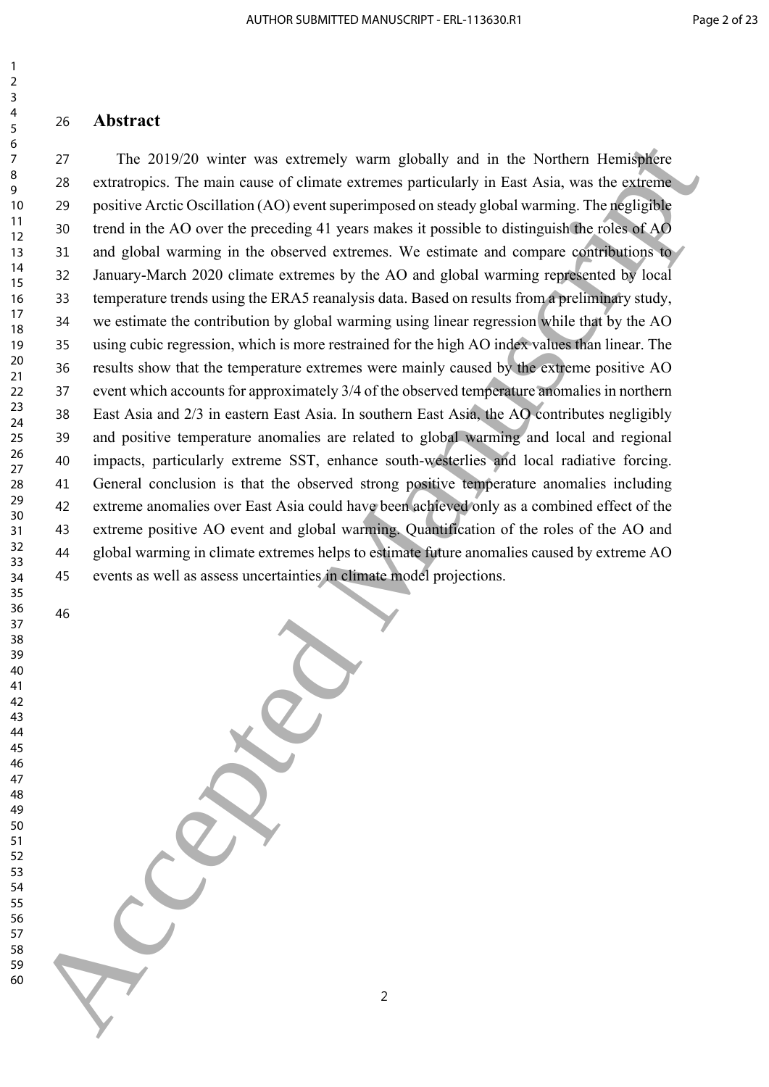### **Abstract**

 The 2019/20 winter was extremely warm globally and in the Northern Hemisphere extratropics. The main cause of climate extremes particularly in East Asia, was the extreme positive Arctic Oscillation (AO) event superimposed on steady global warming. The negligible trend in the AO over the preceding 41 years makes it possible to distinguish the roles of AO and global warming in the observed extremes. We estimate and compare contributions to January-March 2020 climate extremes by the AO and global warming represented by local temperature trends using the ERA5 reanalysis data. Based on results from a preliminary study, we estimate the contribution by global warming using linear regression while that by the AO using cubic regression, which is more restrained for the high AO index values than linear. The results show that the temperature extremes were mainly caused by the extreme positive AO event which accounts for approximately 3/4 of the observed temperature anomalies in northern East Asia and 2/3 in eastern East Asia. In southern East Asia, the AO contributes negligibly and positive temperature anomalies are related to global warming and local and regional impacts, particularly extreme SST, enhance south-westerlies and local radiative forcing. General conclusion is that the observed strong positive temperature anomalies including extreme anomalies over East Asia could have been achieved only as a combined effect of the extreme positive AO event and global warming. Quantification of the roles of the AO and global warming in climate extremes helps to estimate future anomalies caused by extreme AO events as well as assess uncertainties in climate model projections. The 2019/20 wister was extremely warm globally and in the Nothern Hermidplete<br>
20 retationpics the manuscript of the tax contents particularly in Fast Asia, was the extend<br>
20 reading Acceler in each case of chiract catte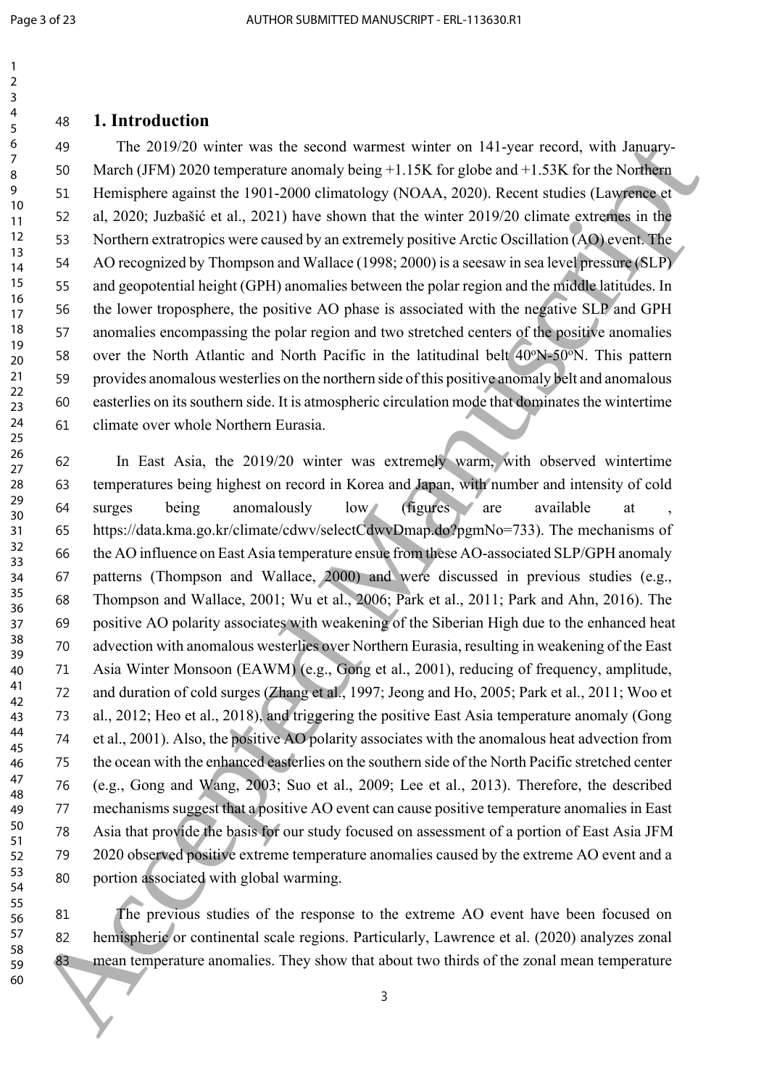### **1. Introduction**

 The 2019/20 winter was the second warmest winter on 141-year record, with January- March (JFM) 2020 temperature anomaly being +1.15K for globe and +1.53K for the Northern Hemisphere against the 1901-2000 climatology (NOAA, 2020). Recent studies (Lawrence et al, 2020; Juzbašić et al., 2021) have shown that the winter 2019/20 climate extremes in the Northern extratropics were caused by an extremely positive Arctic Oscillation (AO) event. The AO recognized by Thompson and Wallace (1998; 2000) is a seesaw in sea level pressure (SLP) and geopotential height (GPH) anomalies between the polar region and the middle latitudes. In the lower troposphere, the positive AO phase is associated with the negative SLP and GPH anomalies encompassing the polar region and two stretched centers of the positive anomalies 58 over the North Atlantic and North Pacific in the latitudinal belt 40<sup>o</sup>N-50<sup>o</sup>N. This pattern provides anomalous westerlies on the northern side of this positive anomaly belt and anomalous easterlies on its southern side. It is atmospheric circulation mode that dominates the wintertime climate over whole Northern Eurasia.

 In East Asia, the 2019/20 winter was extremely warm, with observed wintertime temperatures being highest on record in Korea and Japan, with number and intensity of cold 64 surges being anomalously low (figures are available at https://data.kma.go.kr/climate/cdwv/selectCdwvDmap.do?pgmNo=733). The mechanisms of the AO influence on East Asia temperature ensue from these AO-associated SLP/GPH anomaly patterns (Thompson and Wallace, 2000) and were discussed in previous studies (e.g., Thompson and Wallace, 2001; Wu et al., 2006; Park et al., 2011; Park and Ahn, 2016). The positive AO polarity associates with weakening of the Siberian High due to the enhanced heat advection with anomalous westerlies over Northern Eurasia, resulting in weakening of the East Asia Winter Monsoon (EAWM) (e.g., Gong et al., 2001), reducing of frequency, amplitude, and duration of cold surges (Zhang et al., 1997; Jeong and Ho, 2005; Park et al., 2011; Woo et al., 2012; Heo et al., 2018), and triggering the positive East Asia temperature anomaly (Gong et al., 2001). Also, the positive AO polarity associates with the anomalous heat advection from the ocean with the enhanced easterlies on the southern side of the North Pacific stretched center (e.g., Gong and Wang, 2003; Suo et al., 2009; Lee et al., 2013). Therefore, the described mechanisms suggest that a positive AO event can cause positive temperature anomalies in East Asia that provide the basis for our study focused on assessment of a portion of East Asia JFM 2020 observed positive extreme temperature anomalies caused by the extreme AO event and a portion associated with global warming. **40**<br>
10  $\frac{2}{3}$  The 20102/0 violie was lies second variete winds to the location and the second variety and the second wind has  $\frac{2}{3}$  S0 Murici (10.8)  $\frac{2}{3}$  S0 Murici (10.8)  $\frac{2}{3}$  S0 Murici (10.8)  $\frac{2}{3$ 

 The previous studies of the response to the extreme AO event have been focused on hemispheric or continental scale regions. Particularly, Lawrence et al. (2020) analyzes zonal 83 mean temperature anomalies. They show that about two thirds of the zonal mean temperature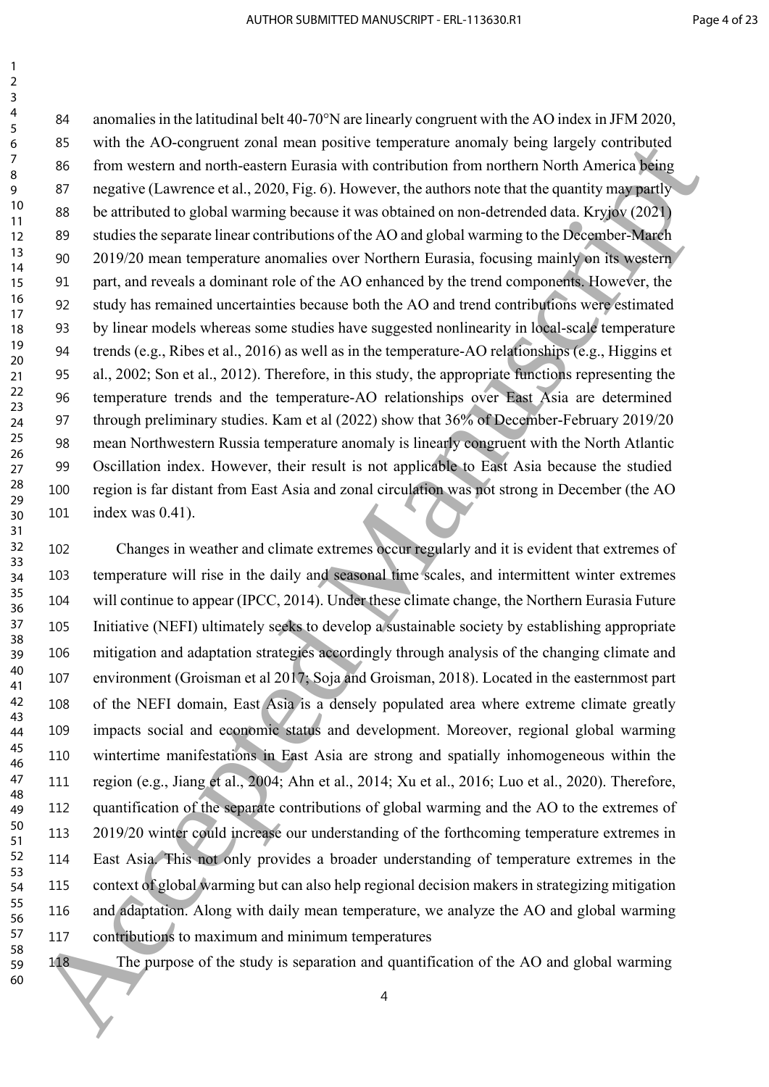anomalies in the latitudinal belt 40-70°N are linearly congruent with the AO index in JFM 2020, with the AO-congruent zonal mean positive temperature anomaly being largely contributed from western and north-eastern Eurasia with contribution from northern North America being 87 negative (Lawrence et al., 2020, Fig. 6). However, the authors note that the quantity may partly be attributed to global warming because it was obtained on non-detrended data. Kryjov (2021) studies the separate linear contributions of the AO and global warming to the December-March 2019/20 mean temperature anomalies over Northern Eurasia, focusing mainly on its western part, and reveals a dominant role of the AO enhanced by the trend components. However, the study has remained uncertainties because both the AO and trend contributions were estimated by linear models whereas some studies have suggested nonlinearity in local-scale temperature trends (e.g., Ribes et al., 2016) as well as in the temperature-AO relationships (e.g., Higgins et al., 2002; Son et al., 2012). Therefore, in this study, the appropriate functions representing the temperature trends and the temperature-AO relationships over East Asia are determined through preliminary studies. Kam et al (2022) show that 36% of December-February 2019/20 mean Northwestern Russia temperature anomaly is linearly congruent with the North Atlantic Oscillation index. However, their result is not applicable to East Asia because the studied region is far distant from East Asia and zonal circulation was not strong in December (the AO index was 0.41).

 Changes in weather and climate extremes occur regularly and it is evident that extremes of temperature will rise in the daily and seasonal time scales, and intermittent winter extremes will continue to appear (IPCC, 2014). Under these climate change, the Northern Eurasia Future Initiative (NEFI) ultimately seeks to develop a sustainable society by establishing appropriate mitigation and adaptation strategies accordingly through analysis of the changing climate and environment (Groisman et al 2017; Soja and Groisman, 2018). Located in the easternmost part of the NEFI domain, East Asia is a densely populated area where extreme climate greatly impacts social and economic status and development. Moreover, regional global warming wintertime manifestations in East Asia are strong and spatially inhomogeneous within the region (e.g., Jiang et al., 2004; Ahn et al., 2014; Xu et al., 2016; Luo et al., 2020). Therefore, quantification of the separate contributions of global warming and the AO to the extremes of 2019/20 winter could increase our understanding of the forthcoming temperature extremes in East Asia. This not only provides a broader understanding of temperature extremes in the context of global warming but can also help regional decision makers in strategizing mitigation and adaptation. Along with daily mean temperature, we analyze the AO and global warming contributions to maximum and minimum temperatures 6 8 with the AC-coupter attention pointive beneficture anomaly benefited and the product of the properties and space of the space of the space of the space of the space of the space of the space of the space of the space

The purpose of the study is separation and quantification of the AO and global warming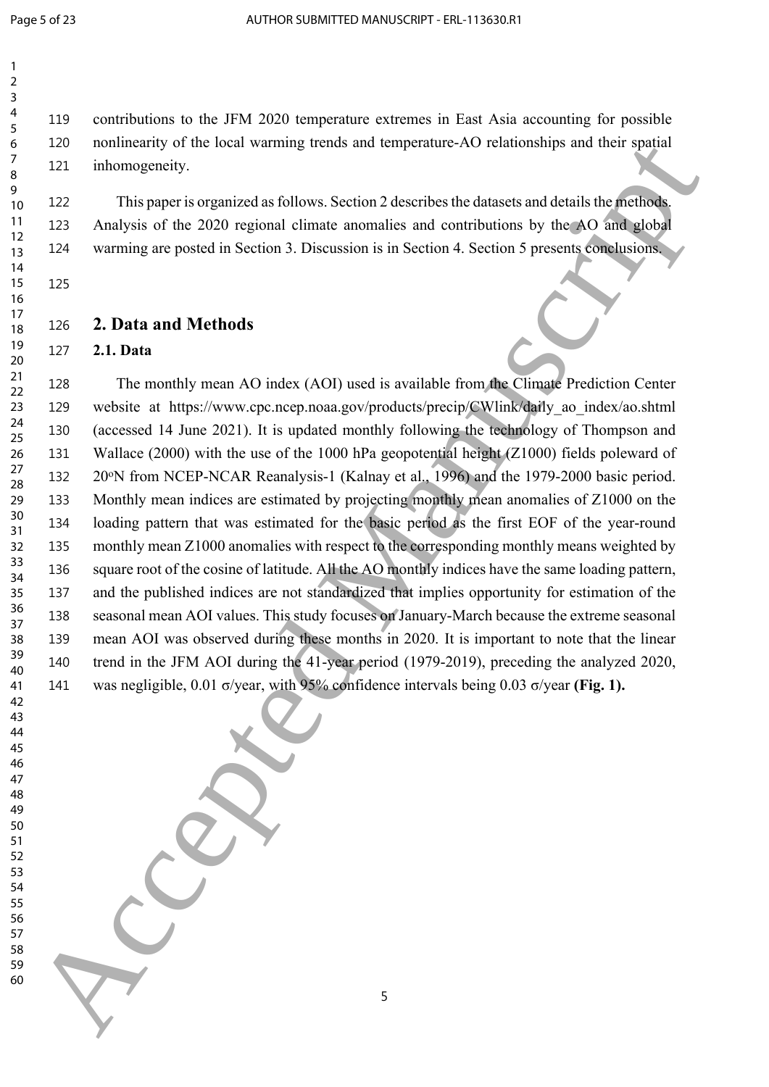contributions to the JFM 2020 temperature extremes in East Asia accounting for possible nonlinearity of the local warming trends and temperature-AO relationships and their spatial inhomogeneity.

 This paper is organized as follows. Section 2 describes the datasets and details the methods. Analysis of the 2020 regional climate anomalies and contributions by the AO and global warming are posted in Section 3. Discussion is in Section 4. Section 5 presents conclusions.

#### **2. Data and Methods**

#### **2.1. Data**

 The monthly mean AO index (AOI) used is available from the Climate Prediction Center website at https://www.cpc.ncep.noaa.gov/products/precip/CWlink/daily\_ao\_index/ao.shtml (accessed 14 June 2021). It is updated monthly following the technology of Thompson and Wallace (2000) with the use of the 1000 hPa geopotential height (Z1000) fields poleward of 132 20<sup>o</sup>N from NCEP-NCAR Reanalysis-1 (Kalnay et al., 1996) and the 1979-2000 basic period. Monthly mean indices are estimated by projecting monthly mean anomalies of Z1000 on the loading pattern that was estimated for the basic period as the first EOF of the year-round monthly mean Z1000 anomalies with respect to the corresponding monthly means weighted by 136 square root of the cosine of latitude. All the AO monthly indices have the same loading pattern, and the published indices are not standardized that implies opportunity for estimation of the seasonal mean AOI values. This study focuses on January-March because the extreme seasonal mean AOI was observed during these months in 2020. It is important to note that the linear trend in the JFM AOI during the 41-year period (1979-2019), preceding the analyzed 2020, was negligible, 0.01 σ/year, with 95% confidence intervals being 0.03 σ/year **(Fig. 1).** 322 and the track of Manuscript (Geology and the special of the special of the special control of the special of the special of the special of the special of the special of the special of the SPA Amazon scenarios and deta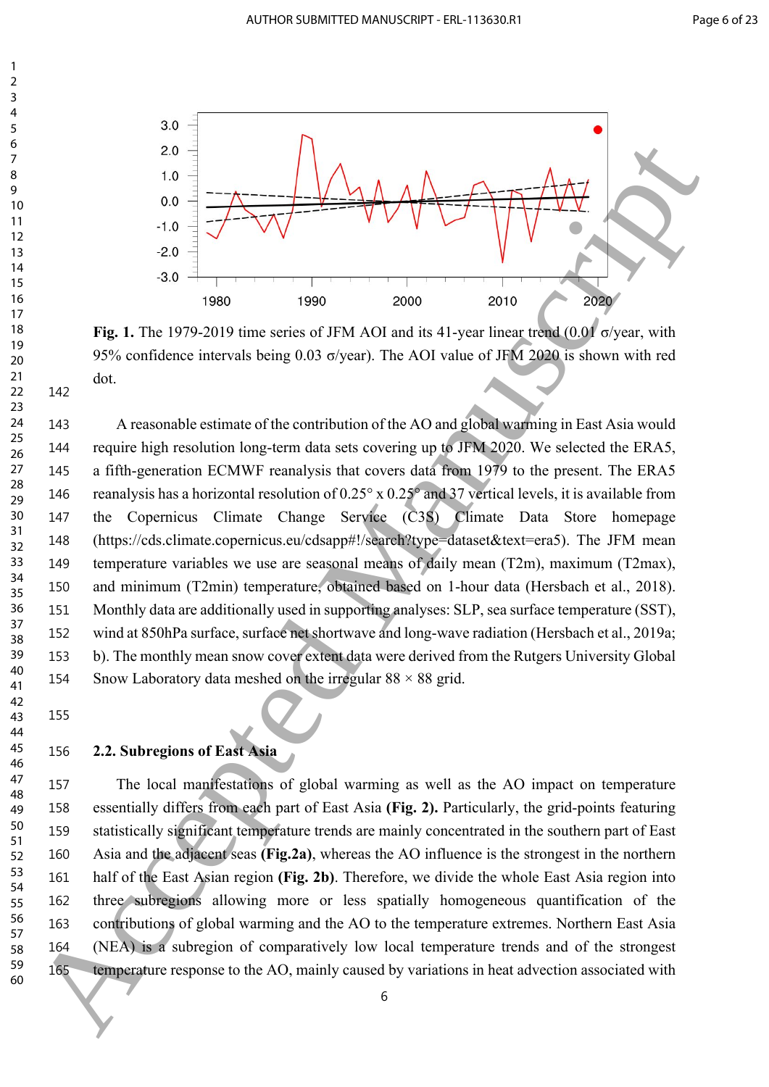

**Fig. 1.** The 1979-2019 time series of JFM AOI and its 41-year linear trend (0.01 σ/year, with 95% confidence intervals being 0.03 σ/year). The AOI value of JFM 2020 is shown with red dot.

 A reasonable estimate of the contribution of the AO and global warming in East Asia would require high resolution long-term data sets covering up to JFM 2020. We selected the ERA5, a fifth-generation ECMWF reanalysis that covers data from 1979 to the present. The ERA5 reanalysis has a horizontal resolution of 0.25° x 0.25° and 37 vertical levels, it is available from the Copernicus Climate Change Service (C3S) Climate Data Store homepage (https://cds.climate.copernicus.eu/cdsapp#!/search?type=dataset&text=era5). The JFM mean temperature variables we use are seasonal means of daily mean (T2m), maximum (T2max), and minimum (T2min) temperature, obtained based on 1-hour data (Hersbach et al., 2018). Monthly data are additionally used in supporting analyses: SLP, sea surface temperature (SST), wind at 850hPa surface, surface net shortwave and long-wave radiation (Hersbach et al., 2019a; b). The monthly mean snow cover extent data were derived from the Rutgers University Global 154 Snow Laboratory data meshed on the irregular  $88 \times 88$  grid. Accepted Manuscript

 

  **2.2. Subregions of East Asia**

 The local manifestations of global warming as well as the AO impact on temperature essentially differs from each part of East Asia **(Fig. 2).** Particularly, the grid-points featuring statistically significant temperature trends are mainly concentrated in the southern part of East Asia and the adjacent seas **(Fig.2a)**, whereas the AO influence is the strongest in the northern half of the East Asian region **(Fig. 2b)**. Therefore, we divide the whole East Asia region into three subregions allowing more or less spatially homogeneous quantification of the contributions of global warming and the AO to the temperature extremes. Northern East Asia (NEA) is a subregion of comparatively low local temperature trends and of the strongest 165 temperature response to the AO, mainly caused by variations in heat advection associated with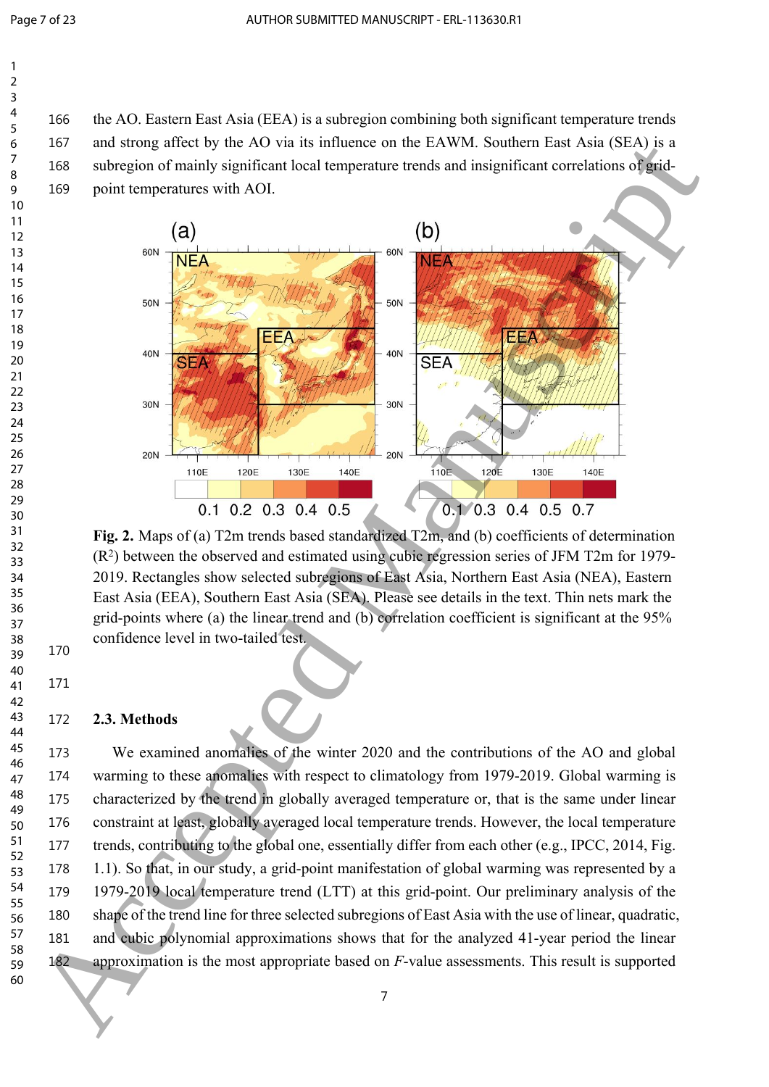the AO. Eastern East Asia (EEA) is a subregion combining both significant temperature trends and strong affect by the AO via its influence on the EAWM. Southern East Asia (SEA) is a subregion of mainly significant local temperature trends and insignificant correlations of grid-point temperatures with AOI.



**Fig. 2.** Maps of (a) T2m trends based standardized T2m, and (b) coefficients of determination (R<sup>2</sup> ) between the observed and estimated using cubic regression series of JFM T2m for 1979- 2019. Rectangles show selected subregions of East Asia, Northern East Asia (NEA), Eastern East Asia (EEA), Southern East Asia (SEA). Please see details in the text. Thin nets mark the grid-points where (a) the linear trend and (b) correlation coefficient is significant at the 95% confidence level in two-tailed test.

### **2.3. Methods**

 We examined anomalies of the winter 2020 and the contributions of the AO and global warming to these anomalies with respect to climatology from 1979-2019. Global warming is characterized by the trend in globally averaged temperature or, that is the same under linear constraint at least, globally averaged local temperature trends. However, the local temperature trends, contributing to the global one, essentially differ from each other (e.g., IPCC, 2014, Fig. 1.1). So that, in our study, a grid-point manifestation of global warming was represented by a 1979-2019 local temperature trend (LTT) at this grid-point. Our preliminary analysis of the shape of the trend line for three selected subregions of East Asia with the use of linear, quadratic, and cubic polynomial approximations shows that for the analyzed 41-year period the linear approximation is the most appropriate based on *F*-value assessments. This result is supported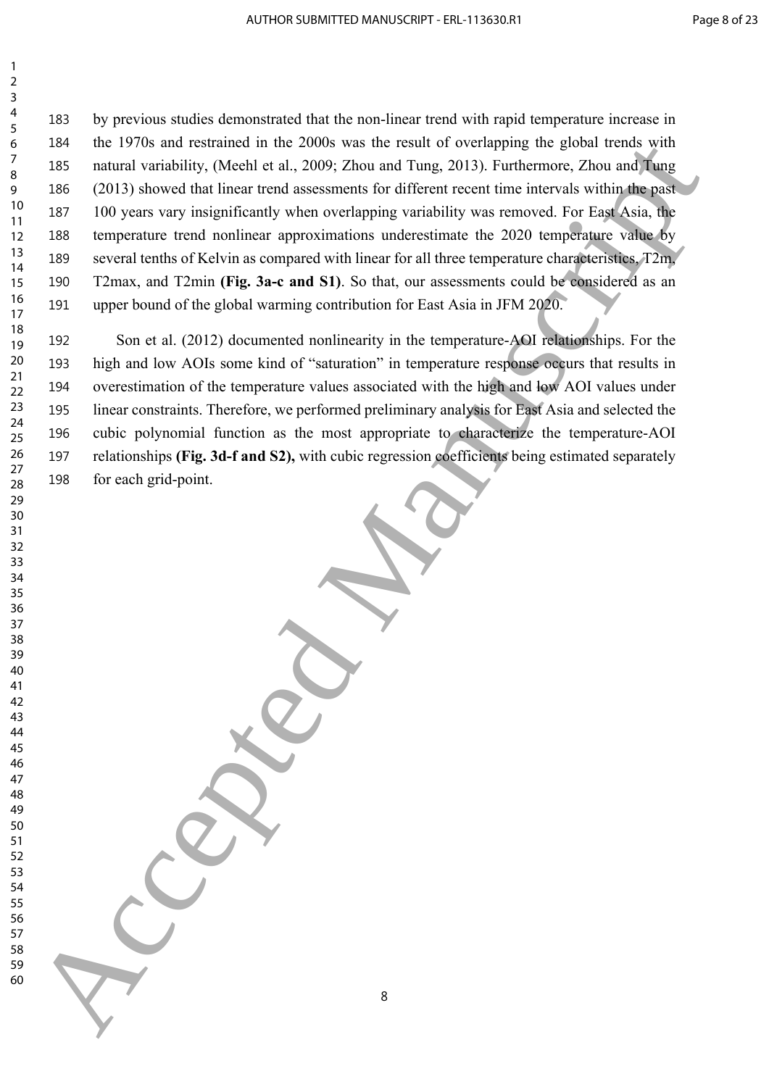by previous studies demonstrated that the non-linear trend with rapid temperature increase in the 1970s and restrained in the 2000s was the result of overlapping the global trends with natural variability, (Meehl et al., 2009; Zhou and Tung, 2013). Furthermore, Zhou and Tung (2013) showed that linear trend assessments for different recent time intervals within the past 100 years vary insignificantly when overlapping variability was removed. For East Asia, the temperature trend nonlinear approximations underestimate the 2020 temperature value by several tenths of Kelvin as compared with linear for all three temperature characteristics, T2m, T2max, and T2min **(Fig. 3a-c and S1)**. So that, our assessments could be considered as an upper bound of the global warming contribution for East Asia in JFM 2020. 60 Accepted Manuscript (and restruction the DOM) was the result of verticing the global strategy of the DVD above that the result of verticing the global strategy of the result of the result of the first control of the re

 Son et al. (2012) documented nonlinearity in the temperature-AOI relationships. For the high and low AOIs some kind of "saturation" in temperature response occurs that results in overestimation of the temperature values associated with the high and low AOI values under linear constraints. Therefore, we performed preliminary analysis for East Asia and selected the cubic polynomial function as the most appropriate to characterize the temperature-AOI relationships **(Fig. 3d-f and S2),** with cubic regression coefficients being estimated separately for each grid-point.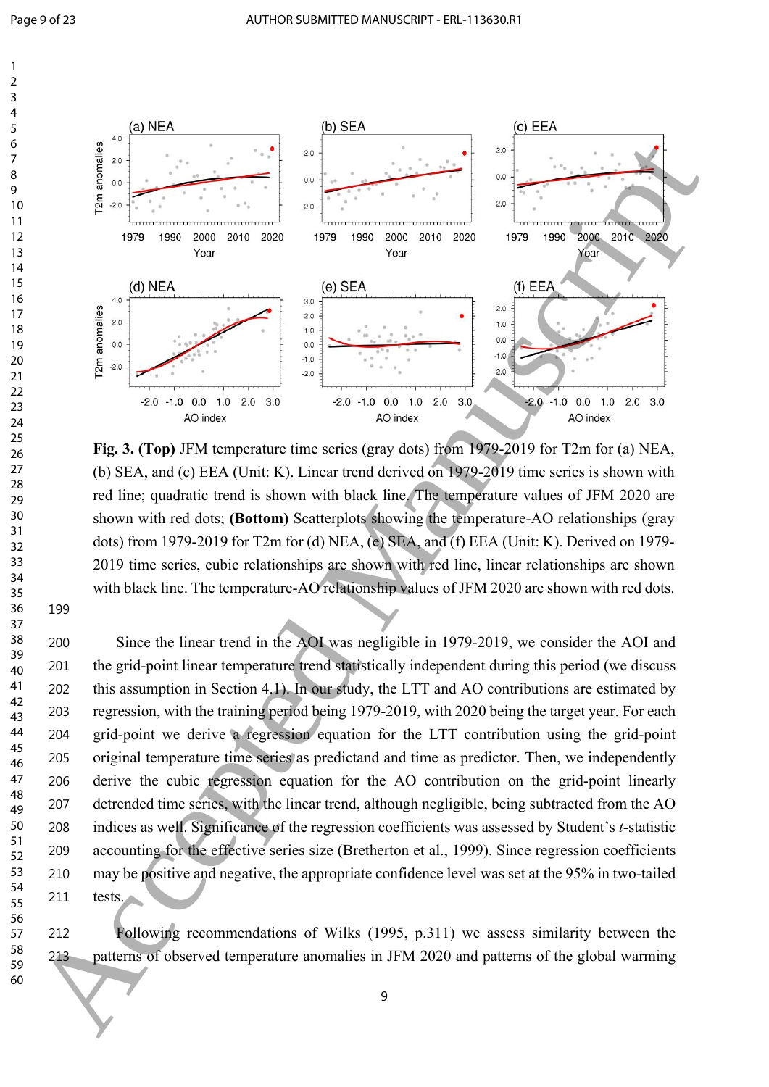

**Fig. 3. (Top)** JFM temperature time series (gray dots) from 1979-2019 for T2m for (a) NEA, (b) SEA, and (c) EEA (Unit: K). Linear trend derived on 1979-2019 time series is shown with red line; quadratic trend is shown with black line. The temperature values of JFM 2020 are shown with red dots; **(Bottom)** Scatterplots showing the temperature-AO relationships (gray dots) from 1979-2019 for T2m for (d) NEA, (e) SEA, and (f) EEA (Unit: K). Derived on 1979-2019 time series, cubic relationships are shown with red line, linear relationships are shown with black line. The temperature-AO relationship values of JFM 2020 are shown with red dots.

 Since the linear trend in the AOI was negligible in 1979-2019, we consider the AOI and the grid-point linear temperature trend statistically independent during this period (we discuss this assumption in Section 4.1). In our study, the LTT and AO contributions are estimated by regression, with the training period being 1979-2019, with 2020 being the target year. For each grid-point we derive a regression equation for the LTT contribution using the grid-point original temperature time series as predictand and time as predictor. Then, we independently derive the cubic regression equation for the AO contribution on the grid-point linearly detrended time series, with the linear trend, although negligible, being subtracted from the AO indices as well. Significance of the regression coefficients was assessed by Student's *t*-statistic accounting for the effective series size (Bretherton et al., 1999). Since regression coefficients may be positive and negative, the appropriate confidence level was set at the 95% in two-tailed tests.

 Following recommendations of Wilks (1995, p.311) we assess similarity between the patterns of observed temperature anomalies in JFM 2020 and patterns of the global warming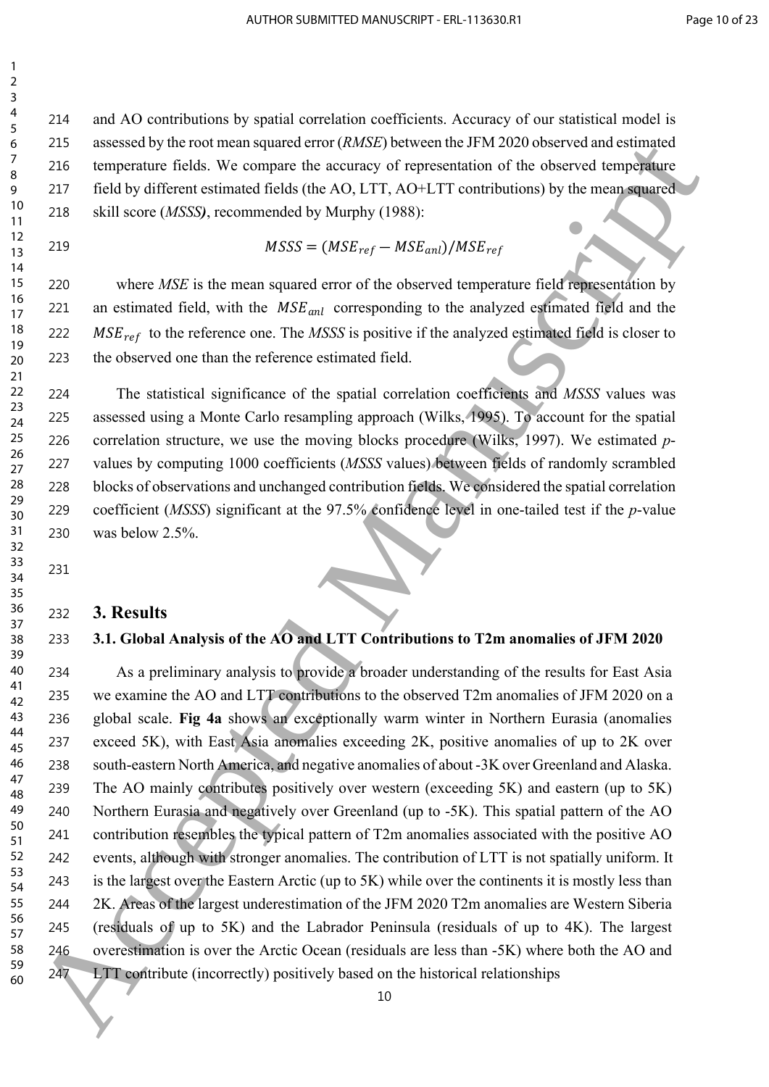and AO contributions by spatial correlation coefficients. Accuracy of our statistical model is assessed by the root mean squared error (*RMSE*) between the JFM 2020 observed and estimated temperature fields. We compare the accuracy of representation of the observed temperature field by different estimated fields (the AO, LTT, AO+LTT contributions) by the mean squared skill score (*MSSS)*, recommended by Murphy (1988):

 

219  $MSSS = (MSE_{ref} - MSE_{anl})/MSE_{ref}$ 

220 where *MSE* is the mean squared error of the observed temperature field representation by 221 an estimated field, with the  $MSE_{ant}$  corresponding to the analyzed estimated field and the 222  $MSE_{ref}$  to the reference one. The *MSSS* is positive if the analyzed estimated field is closer to the observed one than the reference estimated field.

 The statistical significance of the spatial correlation coefficients and *MSSS* values was assessed using a Monte Carlo resampling approach (Wilks, 1995). To account for the spatial correlation structure, we use the moving blocks procedure (Wilks, 1997). We estimated *p*- values by computing 1000 coefficients (*MSSS* values) between fields of randomly scrambled blocks of observations and unchanged contribution fields. We considered the spatial correlation coefficient (*MSSS*) significant at the 97.5% confidence level in one-tailed test if the *p*-value was below 2.5%. 

### **3. Results**

#### **3.1. Global Analysis of the AO and LTT Contributions to T2m anomalies of JFM 2020**

 As a preliminary analysis to provide a broader understanding of the results for East Asia we examine the AO and LTT contributions to the observed T2m anomalies of JFM 2020 on a global scale. **Fig 4a** shows an exceptionally warm winter in Northern Eurasia (anomalies exceed 5K), with East Asia anomalies exceeding 2K, positive anomalies of up to 2K over south-eastern North America, and negative anomalies of about -3K over Greenland and Alaska. The AO mainly contributes positively over western (exceeding 5K) and eastern (up to 5K) Northern Eurasia and negatively over Greenland (up to -5K). This spatial pattern of the AO contribution resembles the typical pattern of T2m anomalies associated with the positive AO events, although with stronger anomalies. The contribution of LTT is not spatially uniform. It is the largest over the Eastern Arctic (up to 5K) while over the continents it is mostly less than 2K. Areas of the largest underestimation of the JFM 2020 T2m anomalies are Western Siberia (residuals of up to 5K) and the Labrador Peninsula (residuals of up to 4K). The largest overestimation is over the Arctic Ocean (residuals are less than -5K) where both the AO and LTT contribute (incorrectly) positively based on the historical relationships 323 assessed by the result of the AC manuscript (WMS) between the PM 2020 observed Manuscripture<br>  $\frac{2}{7}$  as the engene of the compare the neutrator of representation of the ubserved large<br>points of the engene of the co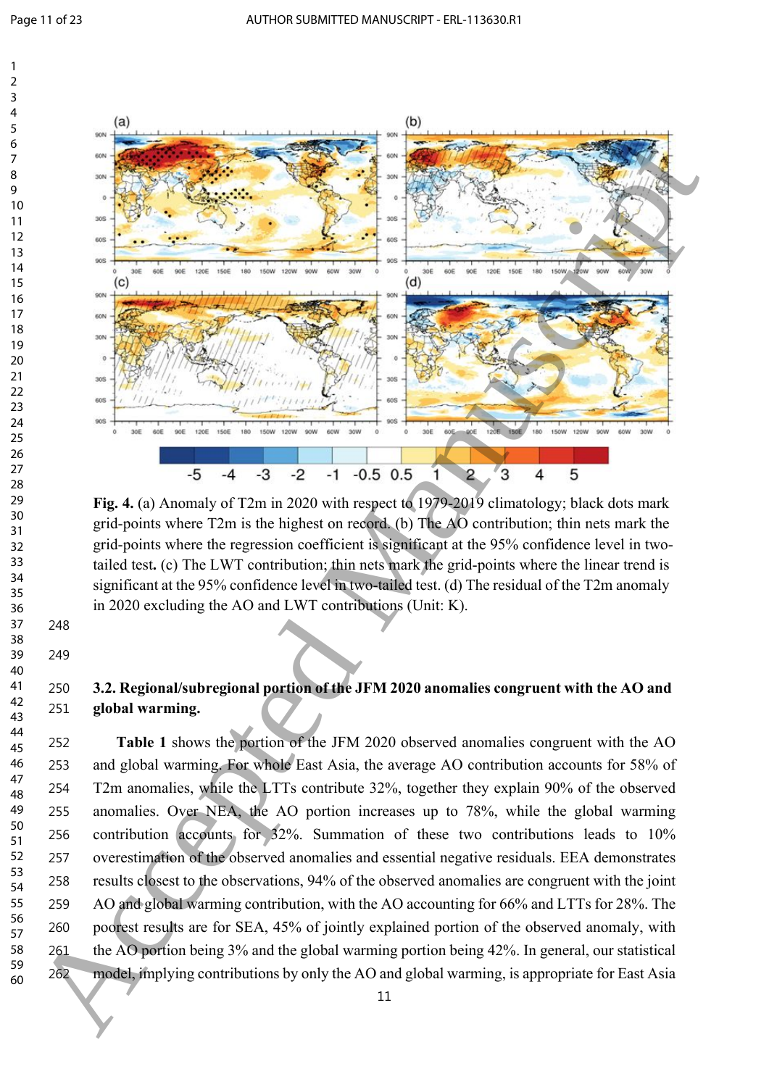

**Fig. 4.** (a) Anomaly of T2m in 2020 with respect to 1979-2019 climatology; black dots mark grid-points where T2m is the highest on record. (b) The AO contribution; thin nets mark the grid-points where the regression coefficient is significant at the 95% confidence level in twotailed test**.** (c) The LWT contribution; thin nets mark the grid-points where the linear trend is significant at the 95% confidence level in two-tailed test. (d) The residual of the T2m anomaly in 2020 excluding the AO and LWT contributions (Unit: K).

## **3.2. Regional/subregional portion of the JFM 2020 anomalies congruent with the AO and global warming.**

 **Table 1** shows the portion of the JFM 2020 observed anomalies congruent with the AO and global warming. For whole East Asia, the average AO contribution accounts for 58% of T2m anomalies, while the LTTs contribute 32%, together they explain 90% of the observed anomalies. Over NEA, the AO portion increases up to 78%, while the global warming contribution accounts for 32%. Summation of these two contributions leads to 10% overestimation of the observed anomalies and essential negative residuals. EEA demonstrates results closest to the observations, 94% of the observed anomalies are congruent with the joint AO and global warming contribution, with the AO accounting for 66% and LTTs for 28%. The poorest results are for SEA, 45% of jointly explained portion of the observed anomaly, with the AO portion being 3% and the global warming portion being 42%. In general, our statistical model, implying contributions by only the AO and global warming, is appropriate for East Asia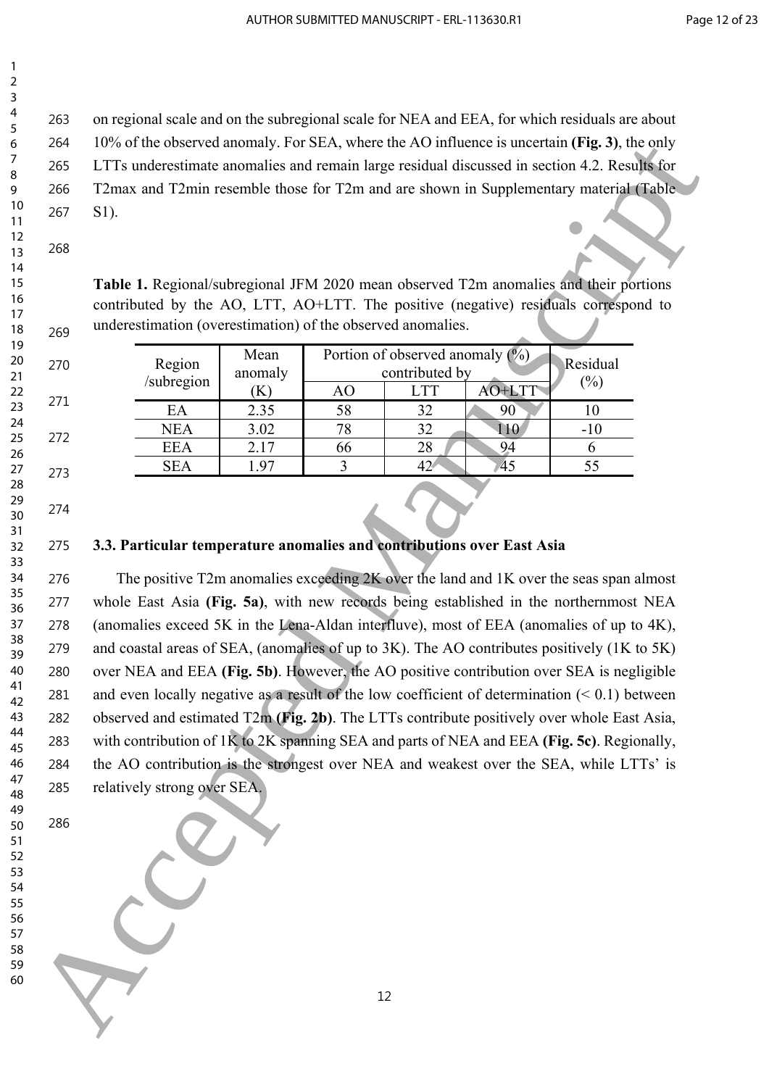on regional scale and on the subregional scale for NEA and EEA, for which residuals are about 10% of the observed anomaly. For SEA, where the AO influence is uncertain **(Fig. 3)**, the only LTTs underestimate anomalies and remain large residual discussed in section 4.2. Results for T2max and T2min resemble those for T2m and are shown in Supplementary material (Table S1).

**Table 1.** Regional/subregional JFM 2020 mean observed T2m anomalies and their portions contributed by the AO, LTT, AO+LTT. The positive (negative) residuals correspond to underestimation (overestimation) of the observed anomalies.

| Region<br>/subregion | Mean<br>anomaly |    | Portion of observed anomaly (%)<br>contributed by |        | <b>Residual</b><br>(%) |
|----------------------|-----------------|----|---------------------------------------------------|--------|------------------------|
|                      | V.              | AO | <b>LTT</b>                                        | AO+LTT |                        |
| EA                   | 2.35            | 58 | 32                                                | 90     |                        |
| <b>NEA</b>           | 3.02            | 78 | 32                                                | 10     | -10                    |
| <b>EEA</b>           | 2.17            | 66 | 28                                                | 94     |                        |
| <b>SEA</b>           | <b>1.97</b>     |    | 42.                                               | 45     |                        |

### **3.3. Particular temperature anomalies and contributions over East Asia**

 The positive T2m anomalies exceeding 2K over the land and 1K over the seas span almost whole East Asia **(Fig. 5a)**, with new records being established in the northernmost NEA (anomalies exceed 5K in the Lena-Aldan interfluve), most of EEA (anomalies of up to 4K), and coastal areas of SEA, (anomalies of up to 3K). The AO contributes positively (1K to 5K) over NEA and EEA **(Fig. 5b)**. However, the AO positive contribution over SEA is negligible and even locally negative as a result of the low coefficient of determination (< 0.1) between observed and estimated T2m **(Fig. 2b)**. The LTTs contribute positively over whole East Asia, with contribution of 1K to 2K spanning SEA and parts of NEA and EEA **(Fig. 5c)**. Regionally, the AO contribution is the strongest over NEA and weakest over the SEA, while LTTs' is relatively strong over SEA. 60 Accepted manually, lets SLA, where the AQ interesting and the Content of the Manuscripture and the Content of the Manuscripture and the Content of the Content of the Content of the Content of the Content of the Content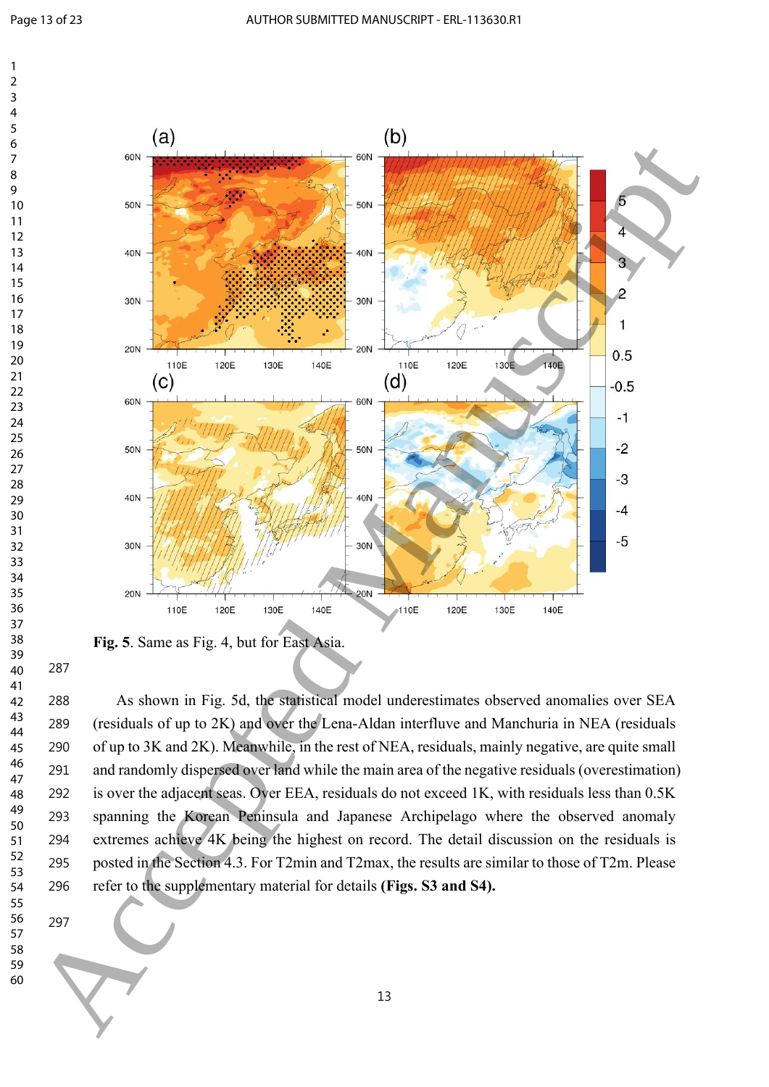



**Fig. 5**. Same as Fig. 4, but for East Asia.

 As shown in Fig. 5d, the statistical model underestimates observed anomalies over SEA (residuals of up to 2K) and over the Lena-Aldan interfluve and Manchuria in NEA (residuals of up to 3K and 2K). Meanwhile, in the rest of NEA, residuals, mainly negative, are quite small and randomly dispersed over land while the main area of the negative residuals (overestimation) is over the adjacent seas. Over EEA, residuals do not exceed 1K, with residuals less than 0.5K spanning the Korean Peninsula and Japanese Archipelago where the observed anomaly extremes achieve 4K being the highest on record. The detail discussion on the residuals is posted in the Section 4.3. For T2min and T2max, the results are similar to those of T2m. Please refer to the supplementary material for details **(Figs. S3 and S4).**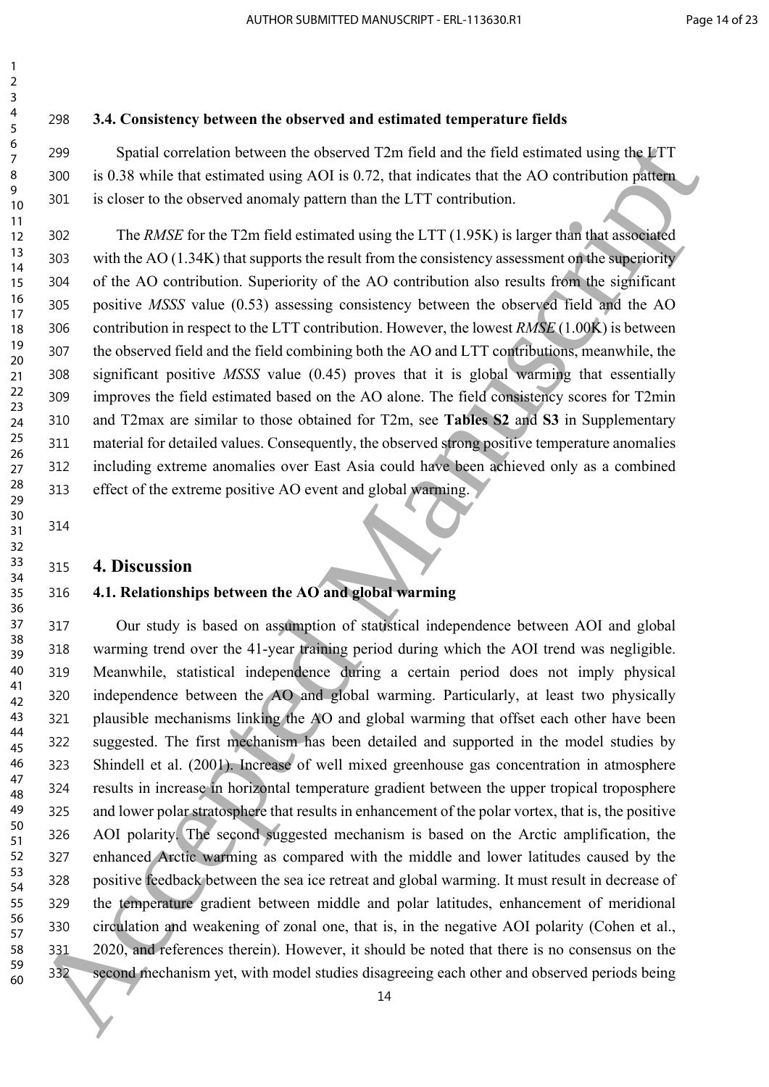### **3.4. Consistency between the observed and estimated temperature fields**

 Spatial correlation between the observed T2m field and the field estimated using the LTT is 0.38 while that estimated using AOI is 0.72, that indicates that the AO contribution pattern is closer to the observed anomaly pattern than the LTT contribution.

 The *RMSE* for the T2m field estimated using the LTT (1.95K) is larger than that associated with the AO (1.34K) that supports the result from the consistency assessment on the superiority of the AO contribution. Superiority of the AO contribution also results from the significant positive *MSSS* value (0.53) assessing consistency between the observed field and the AO contribution in respect to the LTT contribution. However, the lowest *RMSE* (1.00K) is between the observed field and the field combining both the AO and LTT contributions, meanwhile, the significant positive *MSSS* value (0.45) proves that it is global warming that essentially improves the field estimated based on the AO alone. The field consistency scores for T2min and T2max are similar to those obtained for T2m, see **Tables S2** and **S3** in Supplementary material for detailed values. Consequently, the observed strong positive temperature anomalies including extreme anomalies over East Asia could have been achieved only as a combined effect of the extreme positive AO event and global warming.

 

#### **4. Discussion**

#### **4.1. Relationships between the AO and global warming**

 Our study is based on assumption of statistical independence between AOI and global warming trend over the 41-year training period during which the AOI trend was negligible. Meanwhile, statistical independence during a certain period does not imply physical independence between the AO and global warming. Particularly, at least two physically 321 plausible mechanisms linking the AO and global warming that offset each other have been suggested. The first mechanism has been detailed and supported in the model studies by Shindell et al. (2001). Increase of well mixed greenhouse gas concentration in atmosphere results in increase in horizontal temperature gradient between the upper tropical troposphere and lower polar stratosphere that results in enhancement of the polar vortex, that is, the positive AOI polarity. The second suggested mechanism is based on the Arctic amplification, the enhanced Arctic warming as compared with the middle and lower latitudes caused by the positive feedback between the sea ice retreat and global warming. It must result in decrease of the temperature gradient between middle and polar latitudes, enhancement of meridional circulation and weakening of zonal one, that is, in the negative AOI polarity (Cohen et al., 2020, and references therein). However, it should be noted that there is no consensus on the second mechanism yet, with model studies disagreeing each other and observed periods being 6<br>  $\frac{6}{2}$  Spatial correlation between the observation Tarbitative delicated with a formid and the formid and the correlation between  $\frac{9}{2}$  Spatial and the correlation between  $\frac{9}{2}$  Spatial and the correlation b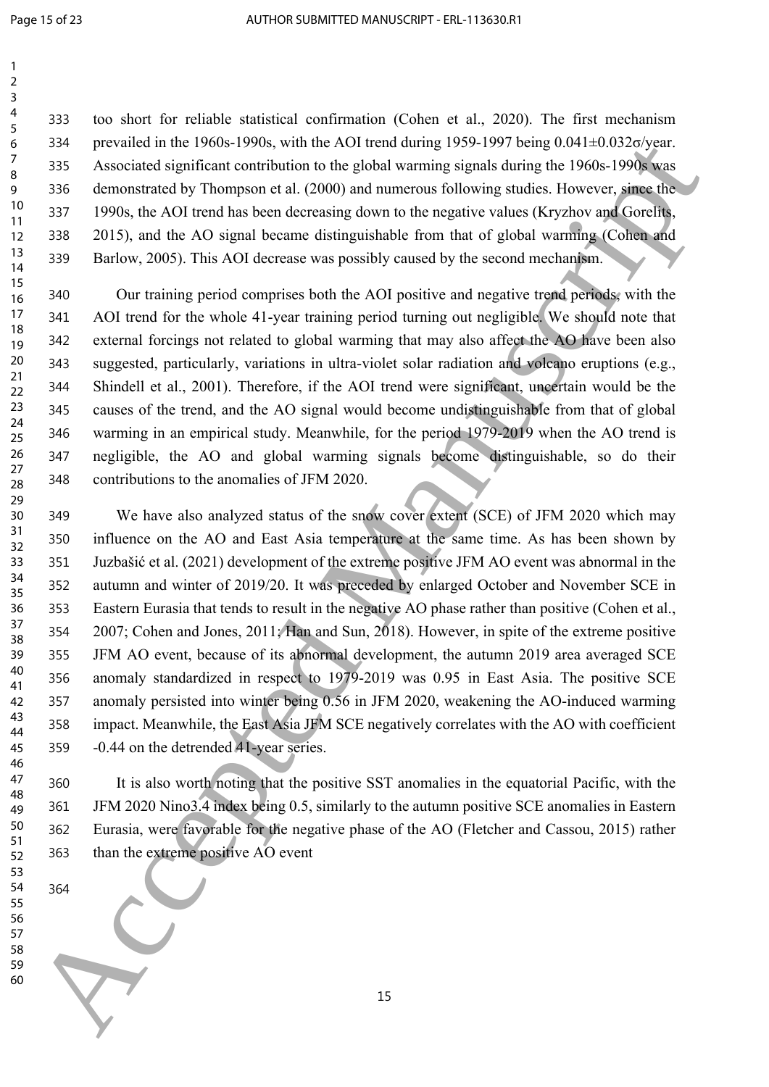too short for reliable statistical confirmation (Cohen et al., 2020). The first mechanism 334 prevailed in the 1960s-1990s, with the AOI trend during 1959-1997 being  $0.041 \pm 0.032 \sigma/\text{year}$ . Associated significant contribution to the global warming signals during the 1960s-1990s was demonstrated by Thompson et al. (2000) and numerous following studies. However, since the 1990s, the AOI trend has been decreasing down to the negative values (Kryzhov and Gorelits, 2015), and the AO signal became distinguishable from that of global warming (Cohen and Barlow, 2005). This AOI decrease was possibly caused by the second mechanism.

 Our training period comprises both the AOI positive and negative trend periods, with the AOI trend for the whole 41-year training period turning out negligible. We should note that external forcings not related to global warming that may also affect the AO have been also suggested, particularly, variations in ultra-violet solar radiation and volcano eruptions (e.g., Shindell et al., 2001). Therefore, if the AOI trend were significant, uncertain would be the causes of the trend, and the AO signal would become undistinguishable from that of global warming in an empirical study. Meanwhile, for the period 1979-2019 when the AO trend is negligible, the AO and global warming signals become distinguishable, so do their contributions to the anomalies of JFM 2020.

 We have also analyzed status of the snow cover extent (SCE) of JFM 2020 which may influence on the AO and East Asia temperature at the same time. As has been shown by Juzbašić et al. (2021) development of the extreme positive JFM AO event was abnormal in the autumn and winter of 2019/20. It was preceded by enlarged October and November SCE in Eastern Eurasia that tends to result in the negative AO phase rather than positive (Cohen et al., 2007; Cohen and Jones, 2011; Han and Sun, 2018). However, in spite of the extreme positive JFM AO event, because of its abnormal development, the autumn 2019 area averaged SCE anomaly standardized in respect to 1979-2019 was 0.95 in East Asia. The positive SCE anomaly persisted into winter being 0.56 in JFM 2020, weakening the AO-induced warming impact. Meanwhile, the East Asia JFM SCE negatively correlates with the AO with coefficient -0.44 on the detrended 41-year series. 6 234<br>
28 Everalis un the 1960-1990s, while no Act lierations published at the manuscript of the signal of the signal of the signal of the signal of the signal of the signal of the signal of the signal of the signal of th

 It is also worth noting that the positive SST anomalies in the equatorial Pacific, with the JFM 2020 Nino3.4 index being 0.5, similarly to the autumn positive SCE anomalies in Eastern Eurasia, were favorable for the negative phase of the AO (Fletcher and Cassou, 2015) rather than the extreme positive AO event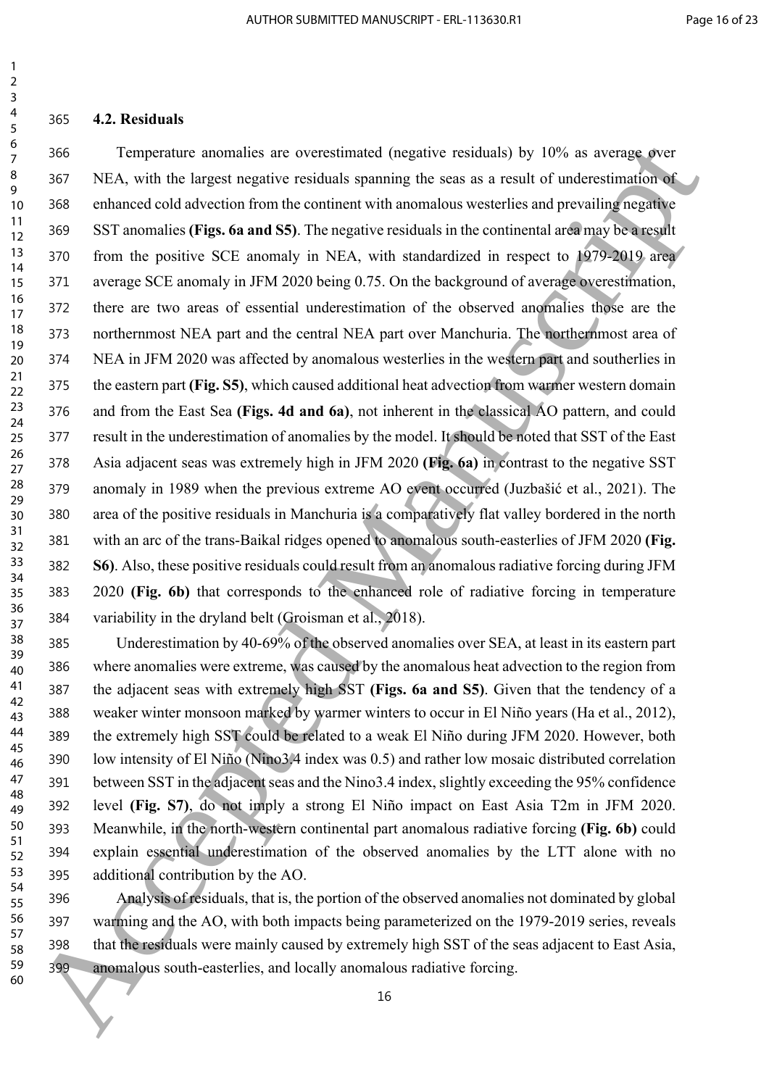#### **4.2. Residuals**

 Temperature anomalies are overestimated (negative residuals) by 10% as average over NEA, with the largest negative residuals spanning the seas as a result of underestimation of enhanced cold advection from the continent with anomalous westerlies and prevailing negative SST anomalies **(Figs. 6a and S5)**. The negative residuals in the continental area may be a result from the positive SCE anomaly in NEA, with standardized in respect to 1979-2019 area average SCE anomaly in JFM 2020 being 0.75. On the background of average overestimation, there are two areas of essential underestimation of the observed anomalies those are the northernmost NEA part and the central NEA part over Manchuria. The northernmost area of NEA in JFM 2020 was affected by anomalous westerlies in the western part and southerlies in the eastern part **(Fig. S5)**, which caused additional heat advection from warmer western domain and from the East Sea **(Figs. 4d and 6a)**, not inherent in the classical AO pattern, and could result in the underestimation of anomalies by the model. It should be noted that SST of the East Asia adjacent seas was extremely high in JFM 2020 **(Fig. 6a)** in contrast to the negative SST anomaly in 1989 when the previous extreme AO event occurred (Juzbašić et al., 2021). The area of the positive residuals in Manchuria is a comparatively flat valley bordered in the north with an arc of the trans-Baikal ridges opened to anomalous south-easterlies of JFM 2020 **(Fig. S6)**. Also, these positive residuals could result from an anomalous radiative forcing during JFM 2020 **(Fig. 6b)** that corresponds to the enhanced role of radiative forcing in temperature variability in the dryland belt (Groisman et al., 2018). 7 366 Transponsion at a correstinanted (regative residuals) by 10%, as average over  $\frac{9}{2}$  as 1 366. With with the largest negative residual spanning the sea an a neural of understand means of the sea and its continue

 Underestimation by 40-69% of the observed anomalies over SEA, at least in its eastern part where anomalies were extreme, was caused by the anomalous heat advection to the region from the adjacent seas with extremely high SST **(Figs. 6a and S5)**. Given that the tendency of a weaker winter monsoon marked by warmer winters to occur in El Niño years (Ha et al., 2012), the extremely high SST could be related to a weak El Niño during JFM 2020. However, both low intensity of El Niño (Nino3.4 index was 0.5) and rather low mosaic distributed correlation between SST in the adjacent seas and the Nino3.4 index, slightly exceeding the 95% confidence level **(Fig. S7)**, do not imply a strong El Niño impact on East Asia T2m in JFM 2020. Meanwhile, in the north-western continental part anomalous radiative forcing **(Fig. 6b)** could explain essential underestimation of the observed anomalies by the LTT alone with no additional contribution by the AO.

 Analysis of residuals, that is, the portion of the observed anomalies not dominated by global warming and the AO, with both impacts being parameterized on the 1979-2019 series, reveals that the residuals were mainly caused by extremely high SST of the seas adjacent to East Asia, anomalous south-easterlies, and locally anomalous radiative forcing.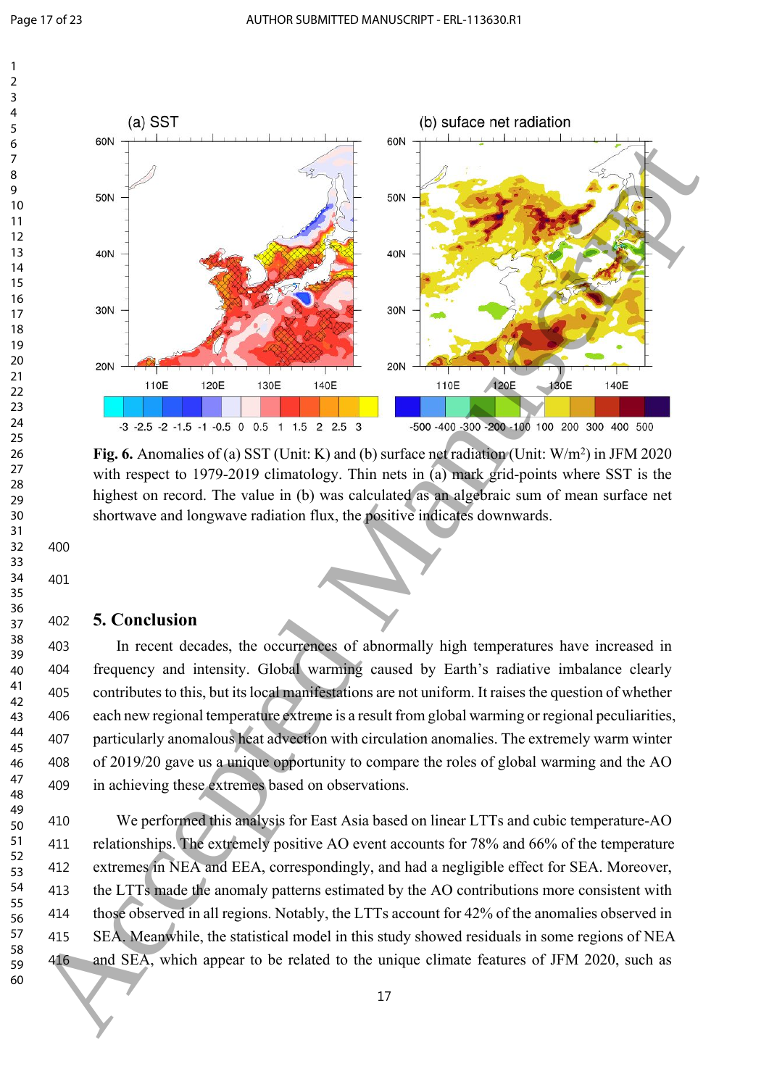



Fig. 6. Anomalies of (a) SST (Unit: K) and (b) surface net radiation (Unit: W/m<sup>2</sup>) in JFM 2020 with respect to 1979-2019 climatology. Thin nets in (a) mark grid-points where SST is the highest on record. The value in (b) was calculated as an algebraic sum of mean surface net shortwave and longwave radiation flux, the positive indicates downwards.

### **5. Conclusion**

 In recent decades, the occurrences of abnormally high temperatures have increased in frequency and intensity. Global warming caused by Earth's radiative imbalance clearly contributes to this, but its local manifestations are not uniform. It raises the question of whether each new regional temperature extreme is a result from global warming or regional peculiarities, particularly anomalous heat advection with circulation anomalies. The extremely warm winter of 2019/20 gave us a unique opportunity to compare the roles of global warming and the AO in achieving these extremes based on observations.

 We performed this analysis for East Asia based on linear LTTs and cubic temperature-AO 411 relationships. The extremely positive AO event accounts for 78% and 66% of the temperature extremes in NEA and EEA, correspondingly, and had a negligible effect for SEA. Moreover, the LTTs made the anomaly patterns estimated by the AO contributions more consistent with those observed in all regions. Notably, the LTTs account for 42% of the anomalies observed in SEA. Meanwhile, the statistical model in this study showed residuals in some regions of NEA and SEA, which appear to be related to the unique climate features of JFM 2020, such as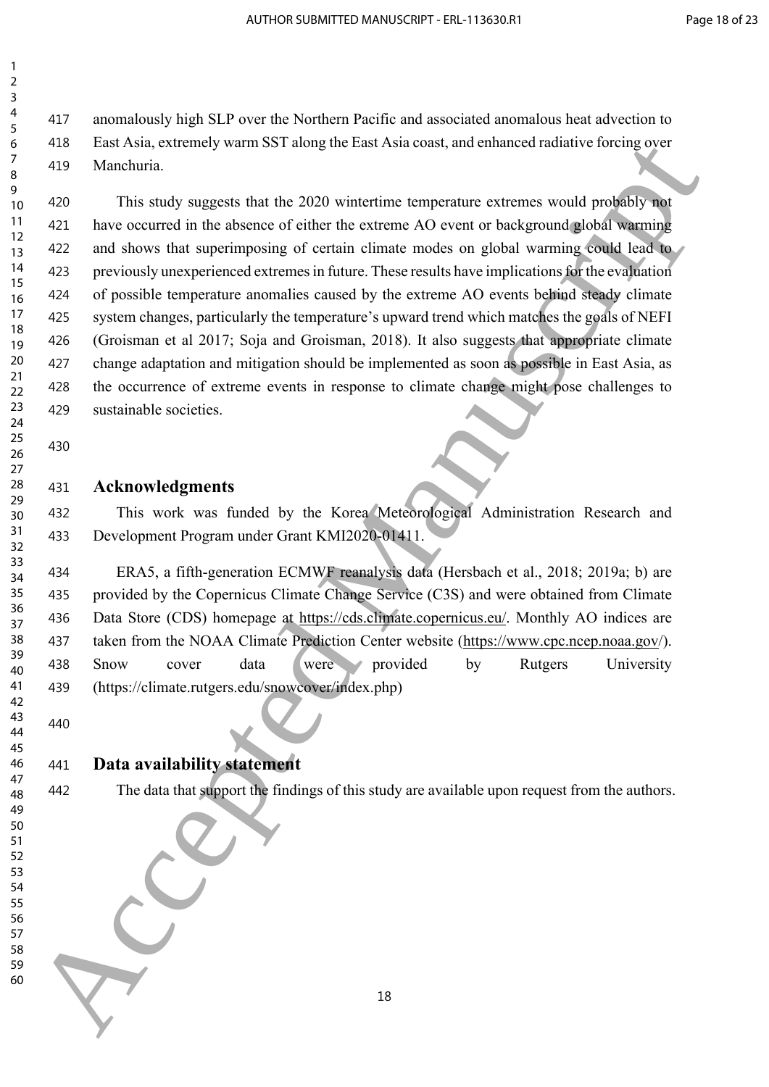anomalously high SLP over the Northern Pacific and associated anomalous heat advection to East Asia, extremely warm SST along the East Asia coast, and enhanced radiative forcing over Manchuria.

 This study suggests that the 2020 wintertime temperature extremes would probably not have occurred in the absence of either the extreme AO event or background global warming and shows that superimposing of certain climate modes on global warming could lead to previously unexperienced extremes in future. These results have implications for the evaluation of possible temperature anomalies caused by the extreme AO events behind steady climate 425 system changes, particularly the temperature's upward trend which matches the goals of NEFI (Groisman et al 2017; Soja and Groisman, 2018). It also suggests that appropriate climate change adaptation and mitigation should be implemented as soon as possible in East Asia, as the occurrence of extreme events in response to climate change might pose challenges to sustainable societies. 6 Also Luci[d](https://cds.climate.copernicus.eu/cdsapp#!/search?type=dataset&text=era5) [M](https://cds.climate.copernicus.eu/cdsapp#!/search?type=dataset&text=era5)anuscriptor (with SN independent and the content of the subsection of the same of the same of the same of the same of the same of the same of the same of the same of the same of the same of the same of the s

## 

### **Acknowledgments**

 This work was funded by the Korea Meteorological Administration Research and Development Program under Grant KMI2020-01411.

 ERA5, a fifth-generation ECMWF reanalysis data (Hersbach et al., 2018; 2019a; b) are provided by the Copernicus Climate Change Service (C3S) and were obtained from Climate Data Store (CDS) homepage at https://cds.climate.copernicus.eu/. Monthly AO indices are taken from the NOAA Climate Prediction Center website (https://www.cpc.ncep.noaa.gov/). Snow cover data were provided by Rutgers University (https://climate.rutgers.edu/snowcover/index.php)

### **Data availability statement**

 

## The data that support the findings of this study are available upon request from the authors.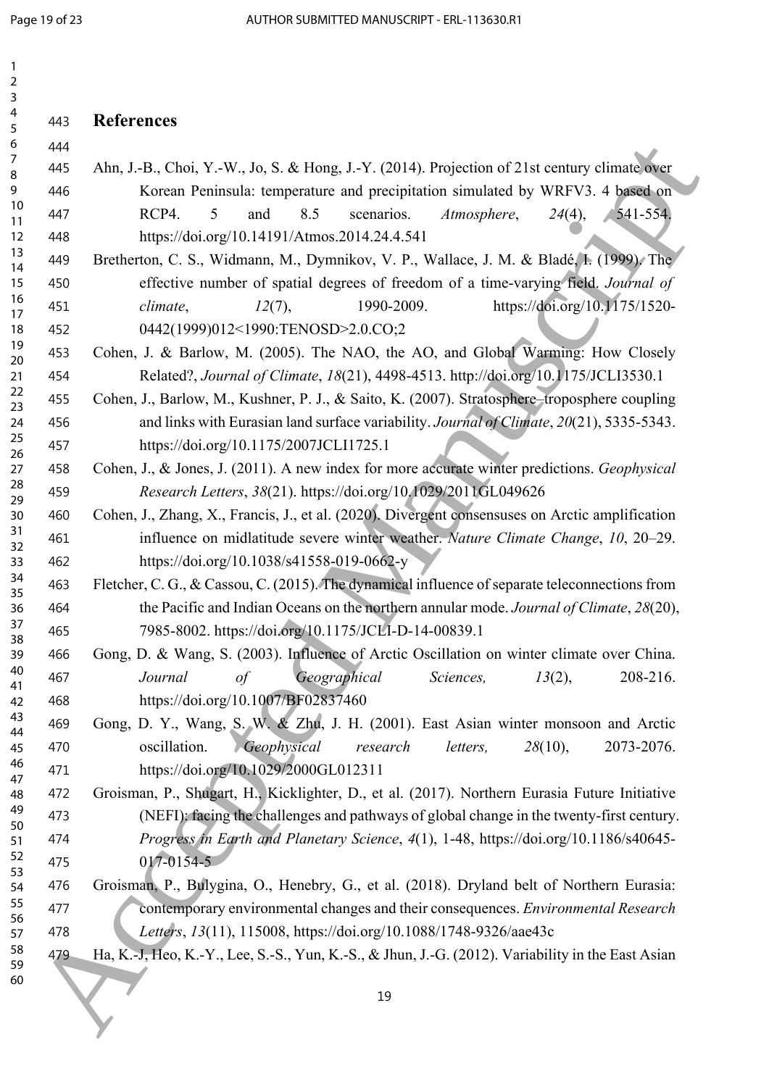| 1<br>2                                                                                       |     |                                                                                                   |
|----------------------------------------------------------------------------------------------|-----|---------------------------------------------------------------------------------------------------|
| 3<br>4                                                                                       |     |                                                                                                   |
| 5                                                                                            | 443 | <b>References</b>                                                                                 |
| 6<br>$\overline{7}$                                                                          | 444 |                                                                                                   |
| 8                                                                                            | 445 | Ahn, J.-B., Choi, Y.-W., Jo, S. & Hong, J.-Y. (2014). Projection of 21st century climate over     |
| 9<br>10                                                                                      | 446 | Korean Peninsula: temperature and precipitation simulated by WRFV3. 4 based on                    |
| 11                                                                                           | 447 | RCP4.<br>8.5<br>and<br>scenarios.<br>Atmosphere,<br>$24(4)$ ,<br>541-554.<br>5                    |
| 12<br>13                                                                                     | 448 | https://doi.org/10.14191/Atmos.2014.24.4.541                                                      |
| 14                                                                                           | 449 | Bretherton, C. S., Widmann, M., Dymnikov, V. P., Wallace, J. M. & Bladé, I. (1999). The           |
| 15<br>16                                                                                     | 450 | effective number of spatial degrees of freedom of a time-varying field. Journal of                |
| 17                                                                                           | 451 | https://doi.org/10.1175/1520-<br>1990-2009.<br>12(7),<br>climate,                                 |
| 18                                                                                           | 452 | 0442(1999)012<1990:TENOSD>2.0.CO;2                                                                |
| 19<br>20                                                                                     | 453 | Cohen, J. & Barlow, M. (2005). The NAO, the AO, and Global Warming: How Closely                   |
| 21                                                                                           | 454 | Related?, Journal of Climate, 18(21), 4498-4513. http://doi.org/10.1175/JCLI3530.1                |
| 22<br>23                                                                                     | 455 | Cohen, J., Barlow, M., Kushner, P. J., & Saito, K. (2007). Stratosphere-troposphere coupling      |
| 24                                                                                           | 456 | and links with Eurasian land surface variability. Journal of Climate, 20(21), 5335-5343.          |
| 25                                                                                           | 457 | https://doi.org/10.1175/2007JCLI1725.1                                                            |
| 27                                                                                           | 458 | Cohen, J., & Jones, J. (2011). A new index for more accurate winter predictions. Geophysical      |
|                                                                                              | 459 | Research Letters, 38(21). https://doi.org/10.1029/2011GL049626                                    |
| 30                                                                                           | 460 | Cohen, J., Zhang, X., Francis, J., et al. (2020). Divergent consensuses on Arctic amplification   |
|                                                                                              | 461 | influence on midlatitude severe winter weather. Nature Climate Change, 10, 20-29.                 |
| 33                                                                                           | 462 | https://doi.org/10.1038/s41558-019-0662-y                                                         |
|                                                                                              | 463 | Fletcher, C. G., & Cassou, C. (2015). The dynamical influence of separate teleconnections from    |
| 36                                                                                           | 464 | the Pacific and Indian Oceans on the northern annular mode. Journal of Climate, 28(20),           |
|                                                                                              | 465 | 7985-8002. https://doi.org/10.1175/JCLI-D-14-00839.1                                              |
| 39                                                                                           | 466 | Gong, D. & Wang, S. (2003). Influence of Arctic Oscillation on winter climate over China.         |
| 40                                                                                           | 467 | Geographical<br>Journal<br>$\sigma f$<br>Sciences,<br>$13(2)$ ,<br>208-216.                       |
| 42                                                                                           | 468 | https://doi.org/10.1007/BF02837460                                                                |
| 43                                                                                           | 469 | Gong, D. Y., Wang, S. W. & Zhu, J. H. (2001). East Asian winter monsoon and Arctic                |
| 45                                                                                           | 470 | oscillation.<br>Geophysical<br>research<br>letters,<br>$28(10)$ ,<br>2073-2076.                   |
| 46                                                                                           | 471 | https://doi.org/10.1029/2000GL012311                                                              |
| 48                                                                                           | 472 | Groisman, P., Shugart, H., Kicklighter, D., et al. (2017). Northern Eurasia Future Initiative     |
| 49                                                                                           | 473 | (NEFI): facing the challenges and pathways of global change in the twenty-first century.          |
| 51                                                                                           | 474 | Progress in Earth and Planetary Science, 4(1), 1-48, https://doi.org/10.1186/s40645-              |
| 52                                                                                           | 475 | 017-0154-5                                                                                        |
| 54                                                                                           | 476 | Groisman, P., Bulygina, O., Henebry, G., et al. (2018). Dryland belt of Northern Eurasia:         |
| 55                                                                                           | 477 | contemporary environmental changes and their consequences. Environmental Research                 |
| 57                                                                                           | 478 | Letters, 13(11), 115008, https://doi.org/10.1088/1748-9326/aae43c                                 |
| 58                                                                                           | 479 | Ha, K.-J, Heo, K.-Y., Lee, S.-S., Yun, K.-S., & Jhun, J.-G. (2012). Variability in the East Asian |
| 60                                                                                           |     |                                                                                                   |
|                                                                                              |     | 19                                                                                                |
|                                                                                              |     |                                                                                                   |
| 26<br>28<br>29<br>31<br>32<br>34<br>35<br>37<br>38<br>41<br>44<br>47<br>50<br>53<br>56<br>59 |     |                                                                                                   |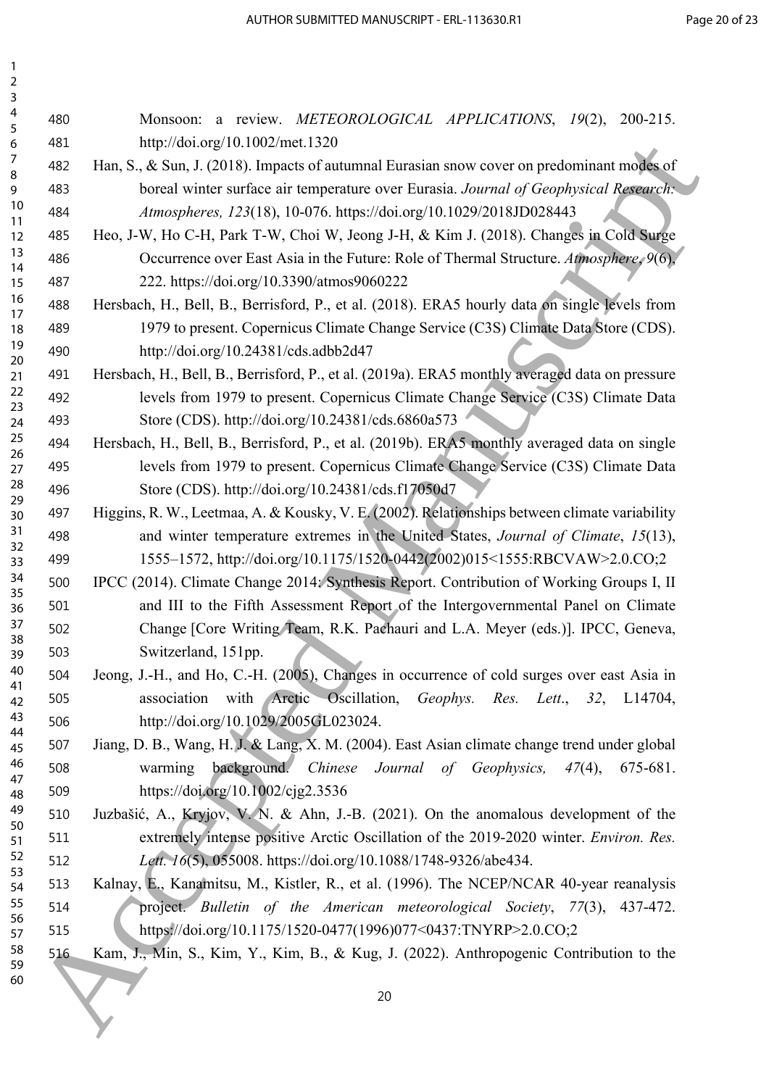| $\overline{a}$<br>3 |     |                                                                                                |
|---------------------|-----|------------------------------------------------------------------------------------------------|
| 4<br>5              | 480 | Monsoon: a review. METEOROLOGICAL APPLICATIONS, 19(2),<br>$200 - 215$ .                        |
| 6                   | 481 | http://doi.org/10.1002/met.1320                                                                |
| 7                   | 482 | Han, S., & Sun, J. (2018). Impacts of autumnal Eurasian snow cover on predominant modes of     |
| 8<br>9              | 483 | boreal winter surface air temperature over Eurasia. Journal of Geophysical Research:           |
| 10                  | 484 | Atmospheres, 123(18), 10-076. https://doi.org/10.1029/2018JD028443                             |
| 11<br>12            | 485 | Heo, J-W, Ho C-H, Park T-W, Choi W, Jeong J-H, & Kim J. (2018). Changes in Cold Surge          |
| 13                  | 486 | Occurrence over East Asia in the Future: Role of Thermal Structure. Atmosphere, 9(6),          |
| 14<br>15            | 487 | 222. https://doi.org/10.3390/atmos9060222                                                      |
| 16                  | 488 | Hersbach, H., Bell, B., Berrisford, P., et al. (2018). ERA5 hourly data on single levels from  |
| 17<br>18            | 489 | 1979 to present. Copernicus Climate Change Service (C3S) Climate Data Store (CDS).             |
| 19                  | 490 | http://doi.org/10.24381/cds.adbb2d47                                                           |
| 20<br>21            | 491 | Hersbach, H., Bell, B., Berrisford, P., et al. (2019a). ERA5 monthly averaged data on pressure |
| 22                  | 492 | levels from 1979 to present. Copernicus Climate Change Service (C3S) Climate Data              |
| 23                  | 493 | Store (CDS). http://doi.org/10.24381/cds.6860a573                                              |
| 24<br>25            | 494 | Hersbach, H., Bell, B., Berrisford, P., et al. (2019b). ERA5 monthly averaged data on single   |
| 26                  |     | levels from 1979 to present. Copernicus Climate Change Service (C3S) Climate Data              |
| 27<br>28            | 495 |                                                                                                |
| 29                  | 496 | Store (CDS). http://doi.org/10.24381/cds.f17050d7                                              |
| 30<br>31            | 497 | Higgins, R. W., Leetmaa, A. & Kousky, V. E. (2002). Relationships between climate variability  |
| 32                  | 498 | and winter temperature extremes in the United States, Journal of Climate, 15(13),              |
| 33<br>34            | 499 | 1555-1572, http://doi.org/10.1175/1520-0442(2002)015<1555:RBCVAW>2.0.CO;2                      |
| 35                  | 500 | IPCC (2014). Climate Change 2014: Synthesis Report. Contribution of Working Groups I, II       |
| 36                  | 501 | and III to the Fifth Assessment Report of the Intergovernmental Panel on Climate               |
| 37<br>38            | 502 | Change [Core Writing Team, R.K. Pachauri and L.A. Meyer (eds.)]. IPCC, Geneva,                 |
| 39                  | 503 | Switzerland, 151pp.                                                                            |
| 40<br>41            | 504 | Jeong, J.-H., and Ho, C.-H. (2005), Changes in occurrence of cold surges over east Asia in     |
| 42                  | 505 | association with Arctic Oscillation, Geophys. Res. Lett., 32, L14704,                          |
| 43<br>44            | 506 | http://doi.org/10.1029/2005GL023024.                                                           |
| 45                  | 507 | Jiang, D. B., Wang, H. J. & Lang, X. M. (2004). East Asian climate change trend under global   |
| 46<br>47            | 508 | warming background. Chinese Journal of Geophysics,<br>$47(4)$ ,<br>675-681.                    |
| 48                  | 509 | https://doi.org/10.1002/cjg2.3536                                                              |
| 49<br>50            | 510 | Juzbašić, A., Kryjov, V. N. & Ahn, J.-B. (2021). On the anomalous development of the           |
| 51                  | 511 | extremely intense positive Arctic Oscillation of the 2019-2020 winter. Environ. Res.           |
| 52<br>53            | 512 | Lett. 16(5), 055008. https://doi.org/10.1088/1748-9326/abe434.                                 |
| 54                  | 513 | Kalnay, E., Kanamitsu, M., Kistler, R., et al. (1996). The NCEP/NCAR 40-year reanalysis        |
| 55                  | 514 | project. Bulletin of the American meteorological Society, 77(3), 437-472.                      |
| 56<br>57            | 515 | https://doi.org/10.1175/1520-0477(1996)077<0437:TNYRP>2.0.CO;2                                 |
| 58                  | 516 | Kam, J., Min, S., Kim, Y., Kim, B., & Kug, J. (2022). Anthropogenic Contribution to the        |
| 59<br>60            |     |                                                                                                |
|                     |     | 20                                                                                             |
|                     |     |                                                                                                |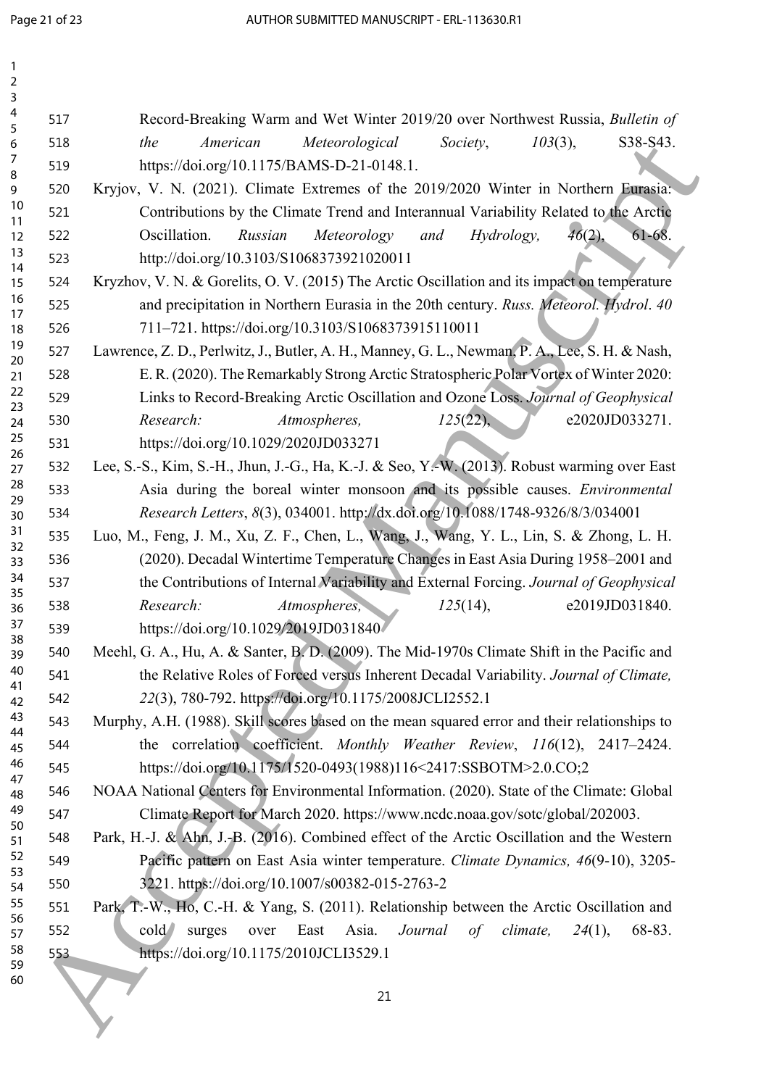| 1<br>$\overline{2}$ |     |                                                                                                      |  |  |  |  |
|---------------------|-----|------------------------------------------------------------------------------------------------------|--|--|--|--|
| 3<br>4              |     |                                                                                                      |  |  |  |  |
| 5                   | 517 | Record-Breaking Warm and Wet Winter 2019/20 over Northwest Russia, Bulletin of                       |  |  |  |  |
| 6<br>7              | 518 | S38-S43.<br>American<br>Meteorological<br>Society,<br>$103(3)$ ,<br>the                              |  |  |  |  |
| 8                   | 519 | https://doi.org/10.1175/BAMS-D-21-0148.1.                                                            |  |  |  |  |
| 9                   | 520 | Kryjov, V. N. (2021). Climate Extremes of the 2019/2020 Winter in Northern Eurasia:                  |  |  |  |  |
| 10<br>11            | 521 | Contributions by the Climate Trend and Interannual Variability Related to the Arctic                 |  |  |  |  |
| 12                  | 522 | $61 - 68$ .<br>Oscillation.<br>Russian<br>46(2),<br>Meteorology<br>and<br>Hydrology,                 |  |  |  |  |
| 13<br>14            | 523 | http://doi.org/10.3103/S1068373921020011                                                             |  |  |  |  |
| 15                  | 524 | Kryzhov, V. N. & Gorelits, O. V. (2015) The Arctic Oscillation and its impact on temperature         |  |  |  |  |
| 16<br>17            | 525 | and precipitation in Northern Eurasia in the 20th century. Russ. Meteorol. Hydrol. 40                |  |  |  |  |
| 18                  | 526 | 711-721. https://doi.org/10.3103/S1068373915110011                                                   |  |  |  |  |
| 19<br>20            | 527 | Lawrence, Z. D., Perlwitz, J., Butler, A. H., Manney, G. L., Newman, P. A., Lee, S. H. & Nash,       |  |  |  |  |
| 21                  | 528 | E. R. (2020). The Remarkably Strong Arctic Stratospheric Polar Vortex of Winter 2020:                |  |  |  |  |
| 22                  | 529 | Links to Record-Breaking Arctic Oscillation and Ozone Loss. Journal of Geophysical                   |  |  |  |  |
| 23<br>24            | 530 | e2020JD033271.<br>Research:<br>$125(22)$ ,<br>Atmospheres,                                           |  |  |  |  |
| 25                  | 531 | https://doi.org/10.1029/2020JD033271                                                                 |  |  |  |  |
| 26<br>27            | 532 | Lee, S.-S., Kim, S.-H., Jhun, J.-G., Ha, K.-J. & Seo, Y.-W. (2013). Robust warming over East         |  |  |  |  |
| 28                  | 533 | Asia during the boreal winter monsoon and its possible causes. Environmental                         |  |  |  |  |
| 29<br>30            | 534 | Research Letters, 8(3), 034001. http://dx.doi.org/10.1088/1748-9326/8/3/034001                       |  |  |  |  |
| 31                  | 535 | Luo, M., Feng, J. M., Xu, Z. F., Chen, L., Wang, J., Wang, Y. L., Lin, S. & Zhong, L. H.             |  |  |  |  |
| 32<br>33            | 536 | (2020). Decadal Wintertime Temperature Changes in East Asia During 1958-2001 and                     |  |  |  |  |
| 34                  | 537 | the Contributions of Internal Variability and External Forcing. Journal of Geophysical               |  |  |  |  |
| 35<br>36            | 538 | e2019JD031840.<br>Research:<br>Atmospheres,<br>$125(14)$ ,                                           |  |  |  |  |
| 37                  | 539 | https://doi.org/10.1029/2019JD031840                                                                 |  |  |  |  |
| 38                  | 540 | Meehl, G. A., Hu, A. & Santer, B. D. (2009). The Mid-1970s Climate Shift in the Pacific and          |  |  |  |  |
| 39<br>40            | 541 | the Relative Roles of Forced versus Inherent Decadal Variability. Journal of Climate,                |  |  |  |  |
| 41                  |     | 22(3), 780-792. https://doi.org/10.1175/2008JCLI2552.1                                               |  |  |  |  |
| 42<br>43            | 542 |                                                                                                      |  |  |  |  |
| 44                  | 543 | Murphy, A.H. (1988). Skill scores based on the mean squared error and their relationships to         |  |  |  |  |
| 45<br>46            | 544 | the correlation coefficient. Monthly Weather Review, 116(12), 2417-2424.                             |  |  |  |  |
| 47                  | 545 | https://doi.org/10.1175/1520-0493(1988)116<2417:SSBOTM>2.0.CO;2                                      |  |  |  |  |
| 48                  | 546 | NOAA National Centers for Environmental Information. (2020). State of the Climate: Global            |  |  |  |  |
| 49<br>50            | 547 | Climate Report for March 2020. https://www.ncdc.noaa.gov/sotc/global/202003.                         |  |  |  |  |
| 51                  | 548 | Park, H.-J. & Ahn, J.-B. (2016). Combined effect of the Arctic Oscillation and the Western           |  |  |  |  |
| 52<br>53            | 549 | Pacific pattern on East Asia winter temperature. Climate Dynamics, 46(9-10), 3205-                   |  |  |  |  |
| 54                  | 550 | 3221. https://doi.org/10.1007/s00382-015-2763-2                                                      |  |  |  |  |
| 55<br>56            | 551 | Park, T.-W., Ho, C.-H. & Yang, S. (2011). Relationship between the Arctic Oscillation and            |  |  |  |  |
| 57                  | 552 | $\text{cold}$<br>East<br>Asia.<br>Journal<br>climate,<br>surges<br>over<br>of<br>$24(1)$ ,<br>68-83. |  |  |  |  |
| 58<br>59            | 553 | https://doi.org/10.1175/2010JCLI3529.1                                                               |  |  |  |  |
| 60                  |     |                                                                                                      |  |  |  |  |
|                     |     | 21                                                                                                   |  |  |  |  |
|                     |     |                                                                                                      |  |  |  |  |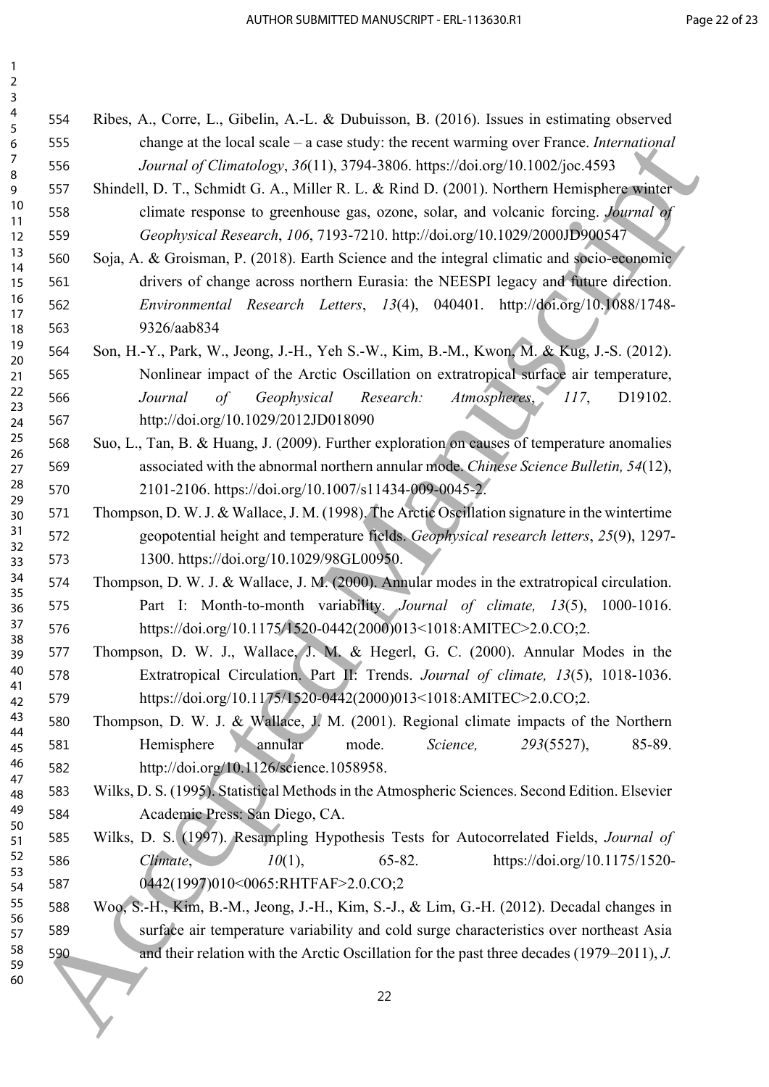| $\overline{2}$<br>$\mathbf{3}$ |     |                                                                                                  |
|--------------------------------|-----|--------------------------------------------------------------------------------------------------|
| $\overline{4}$                 | 554 | Ribes, A., Corre, L., Gibelin, A.-L. & Dubuisson, B. (2016). Issues in estimating observed       |
| 5<br>6                         | 555 | change at the local scale $-$ a case study: the recent warming over France. <i>International</i> |
| 7                              | 556 | Journal of Climatology, 36(11), 3794-3806. https://doi.org/10.1002/joc.4593                      |
| $\bf 8$<br>9                   | 557 | Shindell, D. T., Schmidt G. A., Miller R. L. & Rind D. (2001). Northern Hemisphere winter        |
| 10                             | 558 | climate response to greenhouse gas, ozone, solar, and volcanic forcing. Journal of               |
| 11<br>12                       | 559 | Geophysical Research, 106, 7193-7210. http://doi.org/10.1029/2000JD900547                        |
| 13                             | 560 | Soja, A. & Groisman, P. (2018). Earth Science and the integral climatic and socio-economic       |
| 14<br>15                       | 561 | drivers of change across northern Eurasia: the NEESPI legacy and future direction.               |
| 16                             | 562 | Environmental Research Letters, 13(4), 040401. http://doi.org/10.1088/1748-                      |
| 17<br>18                       | 563 | 9326/aab834                                                                                      |
| 19                             | 564 | Son, H.-Y., Park, W., Jeong, J.-H., Yeh S.-W., Kim, B.-M., Kwon, M. & Kug, J.-S. (2012).         |
| 20<br>21                       | 565 | Nonlinear impact of the Arctic Oscillation on extratropical surface air temperature,             |
| 22                             | 566 | Research:<br>Atmospheres,<br>Geophysical<br>117,<br>Journal<br>$\sigma f$<br>D19102.             |
| 23<br>24                       | 567 | http://doi.org/10.1029/2012JD018090                                                              |
| 25                             | 568 | Suo, L., Tan, B. & Huang, J. (2009). Further exploration on causes of temperature anomalies      |
| 26<br>27                       | 569 | associated with the abnormal northern annular mode. Chinese Science Bulletin, 54(12),            |
| 28                             | 570 | 2101-2106. https://doi.org/10.1007/s11434-009-0045-2.                                            |
| 29<br>30                       | 571 | Thompson, D. W. J. & Wallace, J. M. (1998). The Arctic Oscillation signature in the wintertime   |
| 31                             | 572 | geopotential height and temperature fields. Geophysical research letters, 25(9), 1297-           |
| 32<br>33                       | 573 | 1300. https://doi.org/10.1029/98GL00950.                                                         |
| 34                             | 574 | Thompson, D. W. J. & Wallace, J. M. (2000). Annular modes in the extratropical circulation.      |
| 35<br>36                       | 575 | Part I: Month-to-month variability. Journal of climate, 13(5),<br>1000-1016.                     |
| 37                             | 576 | https://doi.org/10.1175/1520-0442(2000)013<1018:AMITEC>2.0.CO;2.                                 |
| 38<br>39                       | 577 | Thompson, D. W. J., Wallace, J. M. & Hegerl, G. C. (2000). Annular Modes in the                  |
| 40                             | 578 | Extratropical Circulation. Part II: Trends. Journal of climate, 13(5), 1018-1036.                |
| 41<br>42                       | 579 | https://doi.org/10.1175/1520-0442(2000)013<1018:AMITEC>2.0.CO;2.                                 |
| 43                             | 580 | Thompson, D. W. J. & Wallace, J. M. (2001). Regional climate impacts of the Northern             |
| 44<br>45                       | 581 | Hemisphere<br>annular<br>mode.<br>Science,<br>293(5527),<br>85-89.                               |
| 46                             | 582 | http://doi.org/10.1126/science.1058958.                                                          |
| 47<br>48                       | 583 | Wilks, D. S. (1995). Statistical Methods in the Atmospheric Sciences. Second Edition. Elsevier   |
| 49                             | 584 | Academic Press: San Diego, CA.                                                                   |
| 50<br>51                       | 585 | Wilks, D. S. (1997). Resampling Hypothesis Tests for Autocorrelated Fields, Journal of           |
| 52                             | 586 | $10(1)$ ,<br>https://doi.org/10.1175/1520-<br>Climate,<br>$65 - 82.$                             |
| 53<br>54                       | 587 | 0442(1997)010<0065:RHTFAF>2.0.CO;2                                                               |
| 55                             | 588 | Woo, S.-H., Kim, B.-M., Jeong, J.-H., Kim, S.-J., & Lim, G.-H. (2012). Decadal changes in        |
| 56<br>57                       | 589 | surface air temperature variability and cold surge characteristics over northeast Asia           |
| 58<br>59                       | 590 | and their relation with the Arctic Oscillation for the past three decades (1979–2011), J.        |
| 60                             |     |                                                                                                  |
|                                |     | 22                                                                                               |
|                                |     |                                                                                                  |